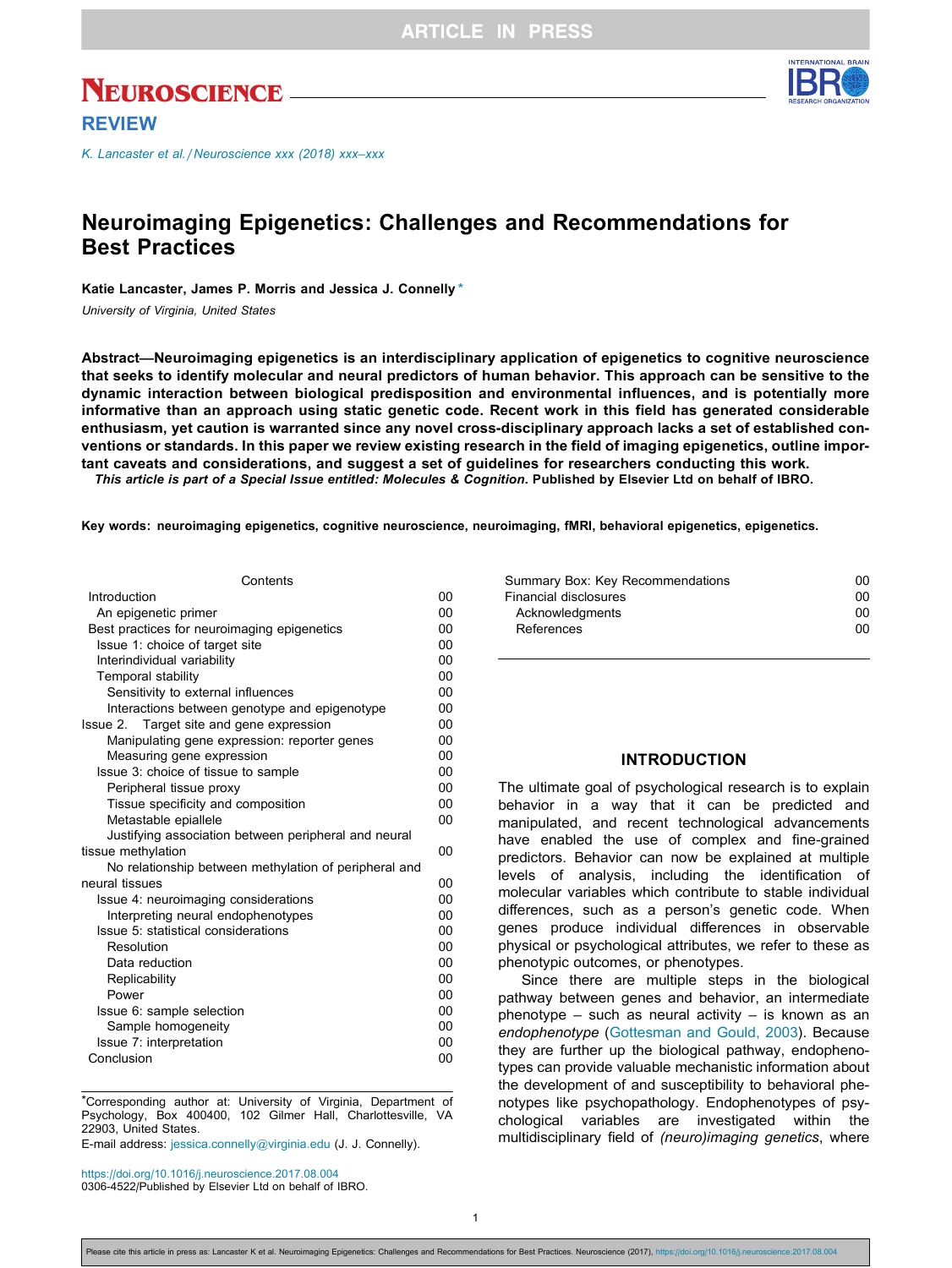# **NEUROSCIENCE** REVIEW

[K. Lancaster et al. / Neuroscience xxx \(2018\) xxx–xxx](https://doi.org/10.1016/j.neuroscience.2017.08.004)

# Neuroimaging Epigenetics: Challenges and Recommendations for Best Practices

Katie Lancaster, James P. Morris and Jessica J. Connelly \*

University of Virginia, United States

Abstract—Neuroimaging epigenetics is an interdisciplinary application of epigenetics to cognitive neuroscience that seeks to identify molecular and neural predictors of human behavior. This approach can be sensitive to the dynamic interaction between biological predisposition and environmental influences, and is potentially more informative than an approach using static genetic code. Recent work in this field has generated considerable enthusiasm, yet caution is warranted since any novel cross-disciplinary approach lacks a set of established conventions or standards. In this paper we review existing research in the field of imaging epigenetics, outline important caveats and considerations, and suggest a set of guidelines for researchers conducting this work. This article is part of a Special Issue entitled: Molecules & Cognition. Published by Elsevier Ltd on behalf of IBRO.

Key words: neuroimaging epigenetics, cognitive neuroscience, neuroimaging, fMRI, behavioral epigenetics, epigenetics.

| Introduction                                          | 00 |
|-------------------------------------------------------|----|
| An epigenetic primer                                  | 00 |
| Best practices for neuroimaging epigenetics           | 00 |
| Issue 1: choice of target site                        | 00 |
| Interindividual variability                           | 00 |
| <b>Temporal stability</b>                             | 00 |
| Sensitivity to external influences                    | 00 |
| Interactions between genotype and epigenotype         | 00 |
| Issue 2. Target site and gene expression              | 00 |
| Manipulating gene expression: reporter genes          | 00 |
| Measuring gene expression                             | 00 |
| Issue 3: choice of tissue to sample                   | 00 |
| Peripheral tissue proxy                               | 00 |
| Tissue specificity and composition                    | 00 |
| Metastable epiallele                                  | 00 |
| Justifying association between peripheral and neural  |    |
| tissue methylation                                    | 00 |
| No relationship between methylation of peripheral and |    |
| neural tissues                                        | 00 |
| Issue 4: neuroimaging considerations                  | 00 |
| Interpreting neural endophenotypes                    | 00 |
| Issue 5: statistical considerations                   | 00 |
| Resolution                                            | 00 |
| Data reduction                                        | 00 |
| Replicability                                         | 00 |
| Power                                                 | 00 |
| Issue 6: sample selection                             | 00 |
| Sample homogeneity                                    | 00 |
| Issue 7: interpretation                               | 00 |
| Conclusion                                            | 00 |

**Contents** 

\*Corresponding author at: University of Virginia, Department of Psychology, Box 400400, 102 Gilmer Hall, Charlottesville, VA 22903, United States.

E-mail address: [jessica.connelly@virginia.edu](mailto:jessica.connelly@virginia.edu) (J. J. Connelly).

<https://doi.org/10.1016/j.neuroscience.2017.08.004> 0306-4522/Published by Elsevier Ltd on behalf of IBRO.

| Summary Box: Key Recommendations<br>Financial disclosures | 00 |
|-----------------------------------------------------------|----|
|                                                           | 00 |
| Acknowledgments                                           | 00 |
| References                                                | 00 |
|                                                           |    |

# INTRODUCTION

The ultimate goal of psychological research is to explain behavior in a way that it can be predicted and manipulated, and recent technological advancements have enabled the use of complex and fine-grained predictors. Behavior can now be explained at multiple levels of analysis, including the identification of molecular variables which contribute to stable individual differences, such as a person's genetic code. When genes produce individual differences in observable physical or psychological attributes, we refer to these as phenotypic outcomes, or phenotypes.

Since there are multiple steps in the biological pathway between genes and behavior, an intermediate phenotype – such as neural activity – is known as an endophenotype [\(Gottesman and Gould, 2003](#page-10-0)). Because they are further up the biological pathway, endophenotypes can provide valuable mechanistic information about the development of and susceptibility to behavioral phenotypes like psychopathology. Endophenotypes of psychological variables are investigated within the multidisciplinary field of (neuro)imaging genetics, where

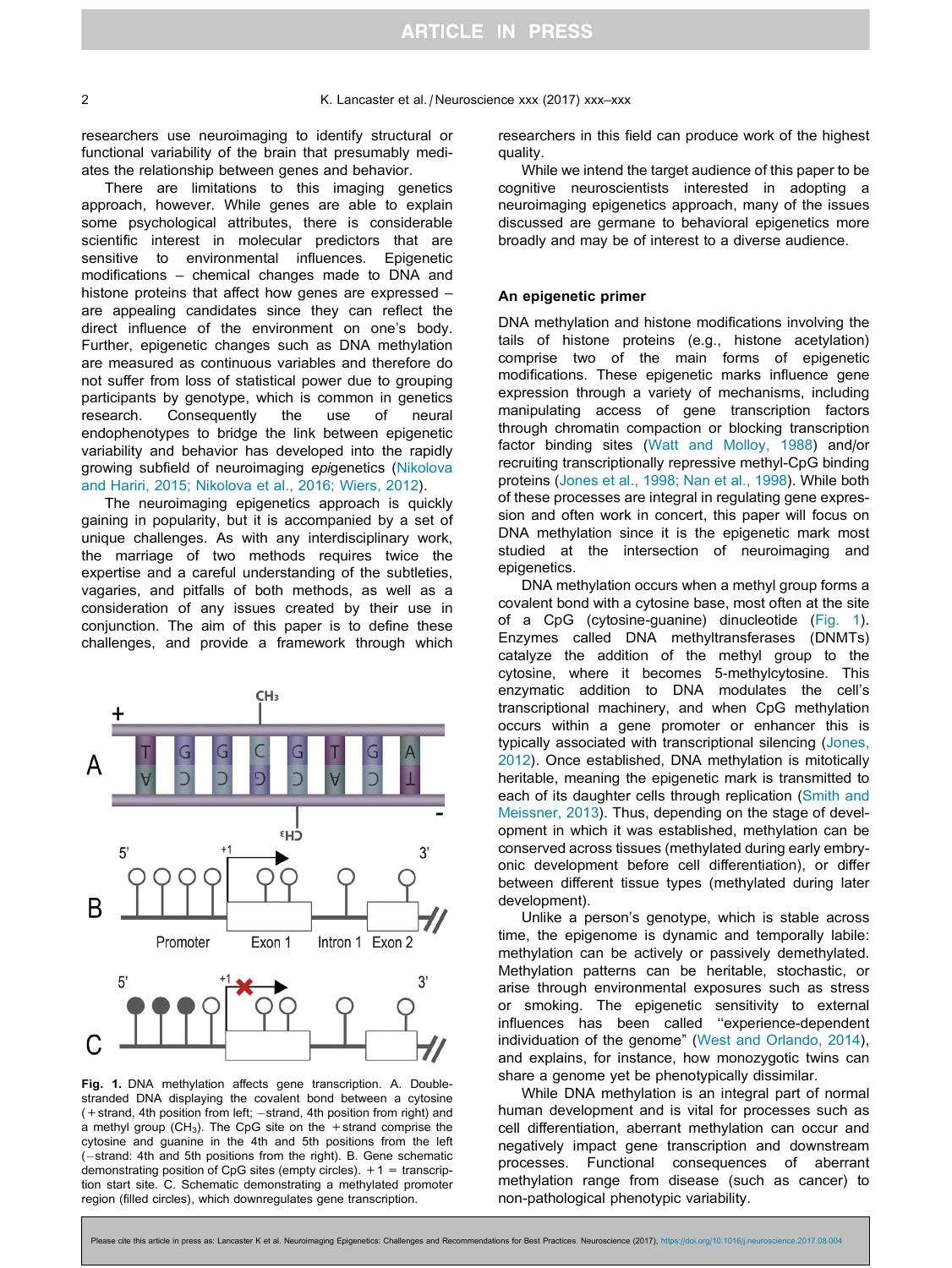researchers use neuroimaging to identify structural or functional variability of the brain that presumably mediates the relationship between genes and behavior.

There are limitations to this imaging genetics approach, however. While genes are able to explain some psychological attributes, there is considerable scientific interest in molecular predictors that are sensitive to environmental influences. Epigenetic modifications – chemical changes made to DNA and histone proteins that affect how genes are expressed – are appealing candidates since they can reflect the direct influence of the environment on one's body. Further, epigenetic changes such as DNA methylation are measured as continuous variables and therefore do not suffer from loss of statistical power due to grouping participants by genotype, which is common in genetics<br>research. Consequently the use of neural Consequently the use of neural endophenotypes to bridge the link between epigenetic variability and behavior has developed into the rapidly growing subfield of neuroimaging epigenetics [\(Nikolova](#page-11-0) [and Hariri, 2015; Nikolova et al., 2016; Wiers, 2012](#page-11-0)).

The neuroimaging epigenetics approach is quickly gaining in popularity, but it is accompanied by a set of unique challenges. As with any interdisciplinary work, the marriage of two methods requires twice the expertise and a careful understanding of the subtleties, vagaries, and pitfalls of both methods, as well as a consideration of any issues created by their use in conjunction. The aim of this paper is to define these challenges, and provide a framework through which



Fig. 1. DNA methylation affects gene transcription. A. Doublestranded DNA displaying the covalent bond between a cytosine  $(+$  strand, 4th position from left;  $-$ strand, 4th position from right) and a methyl group (CH<sub>3</sub>). The CpG site on the  $+$ strand comprise the cytosine and guanine in the 4th and 5th positions from the left (-strand: 4th and 5th positions from the right). B. Gene schematic demonstrating position of CpG sites (empty circles).  $+1 =$  transcription start site. C. Schematic demonstrating a methylated promoter region (filled circles), which downregulates gene transcription.

researchers in this field can produce work of the highest quality.

While we intend the target audience of this paper to be cognitive neuroscientists interested in adopting a neuroimaging epigenetics approach, many of the issues discussed are germane to behavioral epigenetics more broadly and may be of interest to a diverse audience.

# An epigenetic primer

DNA methylation and histone modifications involving the tails of histone proteins (e.g., histone acetylation) comprise two of the main forms of epigenetic modifications. These epigenetic marks influence gene expression through a variety of mechanisms, including manipulating access of gene transcription factors through chromatin compaction or blocking transcription factor binding sites ([Watt and Molloy, 1988\)](#page-11-0) and/or recruiting transcriptionally repressive methyl-CpG binding proteins [\(Jones et al., 1998; Nan et al., 1998\)](#page-10-0). While both of these processes are integral in regulating gene expression and often work in concert, this paper will focus on DNA methylation since it is the epigenetic mark most studied at the intersection of neuroimaging and epigenetics.

DNA methylation occurs when a methyl group forms a covalent bond with a cytosine base, most often at the site of a CpG (cytosine-guanine) dinucleotide (Fig. 1). Enzymes called DNA methyltransferases (DNMTs) catalyze the addition of the methyl group to the cytosine, where it becomes 5-methylcytosine. This enzymatic addition to DNA modulates the cell's transcriptional machinery, and when CpG methylation occurs within a gene promoter or enhancer this is typically associated with transcriptional silencing [\(Jones,](#page-10-0) [2012](#page-10-0)). Once established, DNA methylation is mitotically heritable, meaning the epigenetic mark is transmitted to each of its daughter cells through replication [\(Smith and](#page-11-0) [Meissner, 2013\)](#page-11-0). Thus, depending on the stage of development in which it was established, methylation can be conserved across tissues (methylated during early embryonic development before cell differentiation), or differ between different tissue types (methylated during later development).

Unlike a person's genotype, which is stable across time, the epigenome is dynamic and temporally labile: methylation can be actively or passively demethylated. Methylation patterns can be heritable, stochastic, or arise through environmental exposures such as stress or smoking. The epigenetic sensitivity to external influences has been called ''experience-dependent individuation of the genome" [\(West and Orlando, 2014\)](#page-11-0), and explains, for instance, how monozygotic twins can share a genome yet be phenotypically dissimilar.

While DNA methylation is an integral part of normal human development and is vital for processes such as cell differentiation, aberrant methylation can occur and negatively impact gene transcription and downstream processes. Functional consequences of aberrant methylation range from disease (such as cancer) to non-pathological phenotypic variability.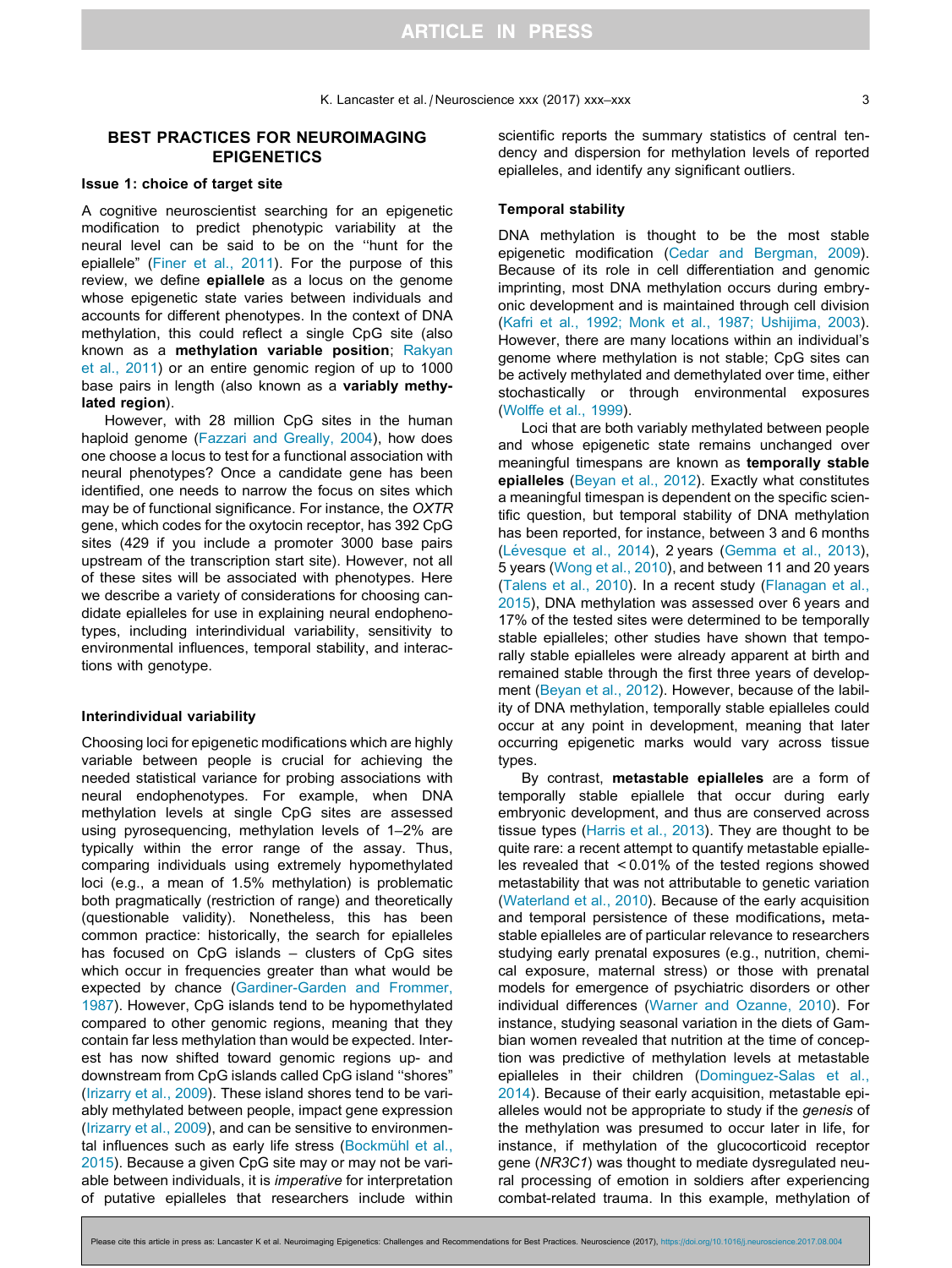# BEST PRACTICES FOR NEUROIMAGING **EPIGENETICS**

## Issue 1: choice of target site

A cognitive neuroscientist searching for an epigenetic modification to predict phenotypic variability at the neural level can be said to be on the ''hunt for the epiallele" ([Finer et al., 2011\)](#page-9-0). For the purpose of this review, we define epiallele as a locus on the genome whose epigenetic state varies between individuals and accounts for different phenotypes. In the context of DNA methylation, this could reflect a single CpG site (also known as a methylation variable position; [Rakyan](#page-11-0) [et al., 2011\)](#page-11-0) or an entire genomic region of up to 1000 base pairs in length (also known as a variably methylated region).

However, with 28 million CpG sites in the human haploid genome [\(Fazzari and Greally, 2004](#page-9-0)), how does one choose a locus to test for a functional association with neural phenotypes? Once a candidate gene has been identified, one needs to narrow the focus on sites which may be of functional significance. For instance, the OXTR gene, which codes for the oxytocin receptor, has 392 CpG sites (429 if you include a promoter 3000 base pairs upstream of the transcription start site). However, not all of these sites will be associated with phenotypes. Here we describe a variety of considerations for choosing candidate epialleles for use in explaining neural endophenotypes, including interindividual variability, sensitivity to environmental influences, temporal stability, and interactions with genotype.

## Interindividual variability

Choosing loci for epigenetic modifications which are highly variable between people is crucial for achieving the needed statistical variance for probing associations with neural endophenotypes. For example, when DNA methylation levels at single CpG sites are assessed using pyrosequencing, methylation levels of 1–2% are typically within the error range of the assay. Thus, comparing individuals using extremely hypomethylated loci (e.g., a mean of 1.5% methylation) is problematic both pragmatically (restriction of range) and theoretically (questionable validity). Nonetheless, this has been common practice: historically, the search for epialleles has focused on CpG islands – clusters of CpG sites which occur in frequencies greater than what would be expected by chance ([Gardiner-Garden and Frommer,](#page-10-0) [1987](#page-10-0)). However, CpG islands tend to be hypomethylated compared to other genomic regions, meaning that they contain far less methylation than would be expected. Interest has now shifted toward genomic regions up- and downstream from CpG islands called CpG island ''shores" [\(Irizarry et al., 2009\)](#page-10-0). These island shores tend to be variably methylated between people, impact gene expression [\(Irizarry et al., 2009](#page-10-0)), and can be sensitive to environmental influences such as early life stress (Bockmühl et al., [2015](#page-9-0)). Because a given CpG site may or may not be variable between individuals, it is imperative for interpretation of putative epialleles that researchers include within scientific reports the summary statistics of central tendency and dispersion for methylation levels of reported epialleles, and identify any significant outliers.

# Temporal stability

DNA methylation is thought to be the most stable epigenetic modification ([Cedar and Bergman, 2009\)](#page-9-0). Because of its role in cell differentiation and genomic imprinting, most DNA methylation occurs during embryonic development and is maintained through cell division ([Kafri et al., 1992; Monk et al., 1987; Ushijima, 2003\)](#page-10-0). However, there are many locations within an individual's genome where methylation is not stable; CpG sites can be actively methylated and demethylated over time, either stochastically or through environmental exposures ([Wolffe et al., 1999\)](#page-11-0).

Loci that are both variably methylated between people and whose epigenetic state remains unchanged over meaningful timespans are known as temporally stable epialleles ([Beyan et al., 2012\)](#page-9-0). Exactly what constitutes a meaningful timespan is dependent on the specific scientific question, but temporal stability of DNA methylation has been reported, for instance, between 3 and 6 months (Lévesque et al., 2014), 2 years [\(Gemma et al., 2013\)](#page-10-0), 5 years ([Wong et al., 2010\)](#page-11-0), and between 11 and 20 years ([Talens et al., 2010](#page-11-0)). In a recent study [\(Flanagan et al.,](#page-9-0) [2015](#page-9-0)), DNA methylation was assessed over 6 years and 17% of the tested sites were determined to be temporally stable epialleles; other studies have shown that temporally stable epialleles were already apparent at birth and remained stable through the first three years of development ([Beyan et al., 2012](#page-9-0)). However, because of the lability of DNA methylation, temporally stable epialleles could occur at any point in development, meaning that later occurring epigenetic marks would vary across tissue types.

By contrast, metastable epialleles are a form of temporally stable epiallele that occur during early embryonic development, and thus are conserved across tissue types ([Harris et al., 2013](#page-10-0)). They are thought to be quite rare: a recent attempt to quantify metastable epialleles revealed that  $< 0.01\%$  of the tested regions showed metastability that was not attributable to genetic variation ([Waterland et al., 2010](#page-11-0)). Because of the early acquisition and temporal persistence of these modifications, metastable epialleles are of particular relevance to researchers studying early prenatal exposures (e.g., nutrition, chemical exposure, maternal stress) or those with prenatal models for emergence of psychiatric disorders or other individual differences [\(Warner and Ozanne, 2010](#page-11-0)). For instance, studying seasonal variation in the diets of Gambian women revealed that nutrition at the time of conception was predictive of methylation levels at metastable epialleles in their children ([Dominguez-Salas et al.,](#page-9-0) [2014](#page-9-0)). Because of their early acquisition, metastable epialleles would not be appropriate to study if the genesis of the methylation was presumed to occur later in life, for instance, if methylation of the glucocorticoid receptor gene (NR3C1) was thought to mediate dysregulated neural processing of emotion in soldiers after experiencing combat-related trauma. In this example, methylation of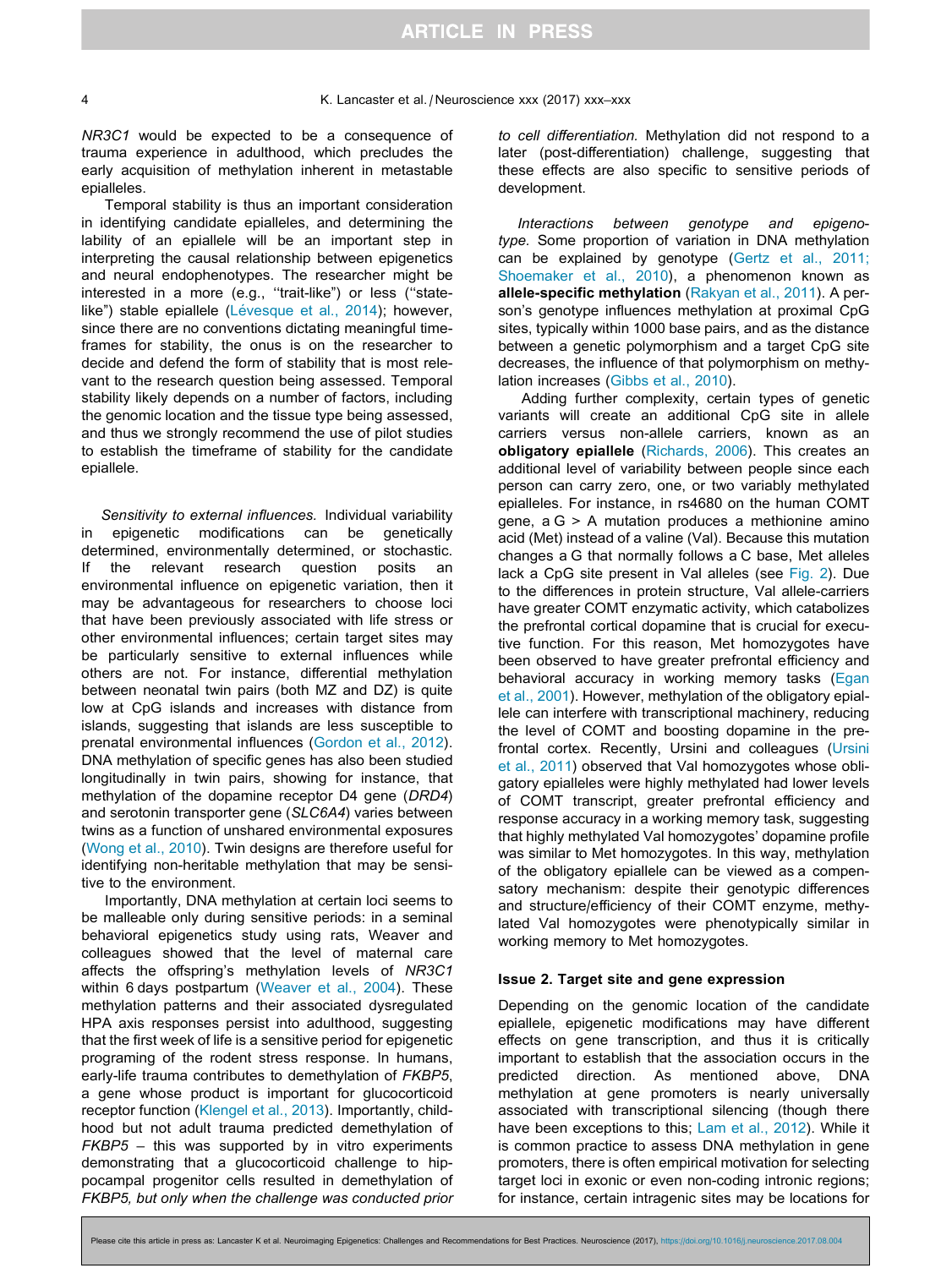NR3C1 would be expected to be a consequence of trauma experience in adulthood, which precludes the early acquisition of methylation inherent in metastable epialleles.

Temporal stability is thus an important consideration in identifying candidate epialleles, and determining the lability of an epiallele will be an important step in interpreting the causal relationship between epigenetics and neural endophenotypes. The researcher might be interested in a more (e.g., "trait-like") or less ("statelike") stable epiallele (Lévesque et al., 2014); however, since there are no conventions dictating meaningful timeframes for stability, the onus is on the researcher to decide and defend the form of stability that is most relevant to the research question being assessed. Temporal stability likely depends on a number of factors, including the genomic location and the tissue type being assessed, and thus we strongly recommend the use of pilot studies to establish the timeframe of stability for the candidate epiallele.

Sensitivity to external influences. Individual variability in epigenetic modifications can be genetically determined, environmentally determined, or stochastic. If the relevant research question posits an environmental influence on epigenetic variation, then it may be advantageous for researchers to choose loci that have been previously associated with life stress or other environmental influences; certain target sites may be particularly sensitive to external influences while others are not. For instance, differential methylation between neonatal twin pairs (both MZ and DZ) is quite low at CpG islands and increases with distance from islands, suggesting that islands are less susceptible to prenatal environmental influences [\(Gordon et al., 2012\)](#page-10-0). DNA methylation of specific genes has also been studied longitudinally in twin pairs, showing for instance, that methylation of the dopamine receptor D4 gene (DRD4) and serotonin transporter gene (SLC6A4) varies between twins as a function of unshared environmental exposures [\(Wong et al., 2010](#page-11-0)). Twin designs are therefore useful for identifying non-heritable methylation that may be sensitive to the environment.

Importantly, DNA methylation at certain loci seems to be malleable only during sensitive periods: in a seminal behavioral epigenetics study using rats, Weaver and colleagues showed that the level of maternal care affects the offspring's methylation levels of NR3C1 within 6 days postpartum [\(Weaver et al., 2004\)](#page-11-0). These methylation patterns and their associated dysregulated HPA axis responses persist into adulthood, suggesting that the first week of life is a sensitive period for epigenetic programing of the rodent stress response. In humans, early-life trauma contributes to demethylation of FKBP5, a gene whose product is important for glucocorticoid receptor function ([Klengel et al., 2013\)](#page-10-0). Importantly, childhood but not adult trauma predicted demethylation of FKBP5 – this was supported by in vitro experiments demonstrating that a glucocorticoid challenge to hippocampal progenitor cells resulted in demethylation of FKBP5, but only when the challenge was conducted prior to cell differentiation. Methylation did not respond to a later (post-differentiation) challenge, suggesting that these effects are also specific to sensitive periods of development.

Interactions between genotype and epigenotype. Some proportion of variation in DNA methylation can be explained by genotype [\(Gertz et al., 2011;](#page-10-0) [Shoemaker et al., 2010](#page-10-0)), a phenomenon known as allele-specific methylation [\(Rakyan et al., 2011](#page-11-0)). A person's genotype influences methylation at proximal CpG sites, typically within 1000 base pairs, and as the distance between a genetic polymorphism and a target CpG site decreases, the influence of that polymorphism on methylation increases [\(Gibbs et al., 2010](#page-10-0)).

Adding further complexity, certain types of genetic variants will create an additional CpG site in allele carriers versus non-allele carriers, known as an obligatory epiallele ([Richards, 2006\)](#page-11-0). This creates an additional level of variability between people since each person can carry zero, one, or two variably methylated epialleles. For instance, in rs4680 on the human COMT gene, a G > A mutation produces a methionine amino acid (Met) instead of a valine (Val). Because this mutation changes a G that normally follows a C base, Met alleles lack a CpG site present in Val alleles (see [Fig. 2](#page-4-0)). Due to the differences in protein structure, Val allele-carriers have greater COMT enzymatic activity, which catabolizes the prefrontal cortical dopamine that is crucial for executive function. For this reason, Met homozygotes have been observed to have greater prefrontal efficiency and behavioral accuracy in working memory tasks ([Egan](#page-9-0) [et al., 2001\)](#page-9-0). However, methylation of the obligatory epiallele can interfere with transcriptional machinery, reducing the level of COMT and boosting dopamine in the prefrontal cortex. Recently, Ursini and colleagues ([Ursini](#page-11-0) [et al., 2011](#page-11-0)) observed that Val homozygotes whose obligatory epialleles were highly methylated had lower levels of COMT transcript, greater prefrontal efficiency and response accuracy in a working memory task, suggesting that highly methylated Val homozygotes' dopamine profile was similar to Met homozygotes. In this way, methylation of the obligatory epiallele can be viewed as a compensatory mechanism: despite their genotypic differences and structure/efficiency of their COMT enzyme, methylated Val homozygotes were phenotypically similar in working memory to Met homozygotes.

# Issue 2. Target site and gene expression

Depending on the genomic location of the candidate epiallele, epigenetic modifications may have different effects on gene transcription, and thus it is critically important to establish that the association occurs in the predicted direction. As mentioned above, DNA methylation at gene promoters is nearly universally associated with transcriptional silencing (though there have been exceptions to this; [Lam et al., 2012\)](#page-10-0). While it is common practice to assess DNA methylation in gene promoters, there is often empirical motivation for selecting target loci in exonic or even non-coding intronic regions; for instance, certain intragenic sites may be locations for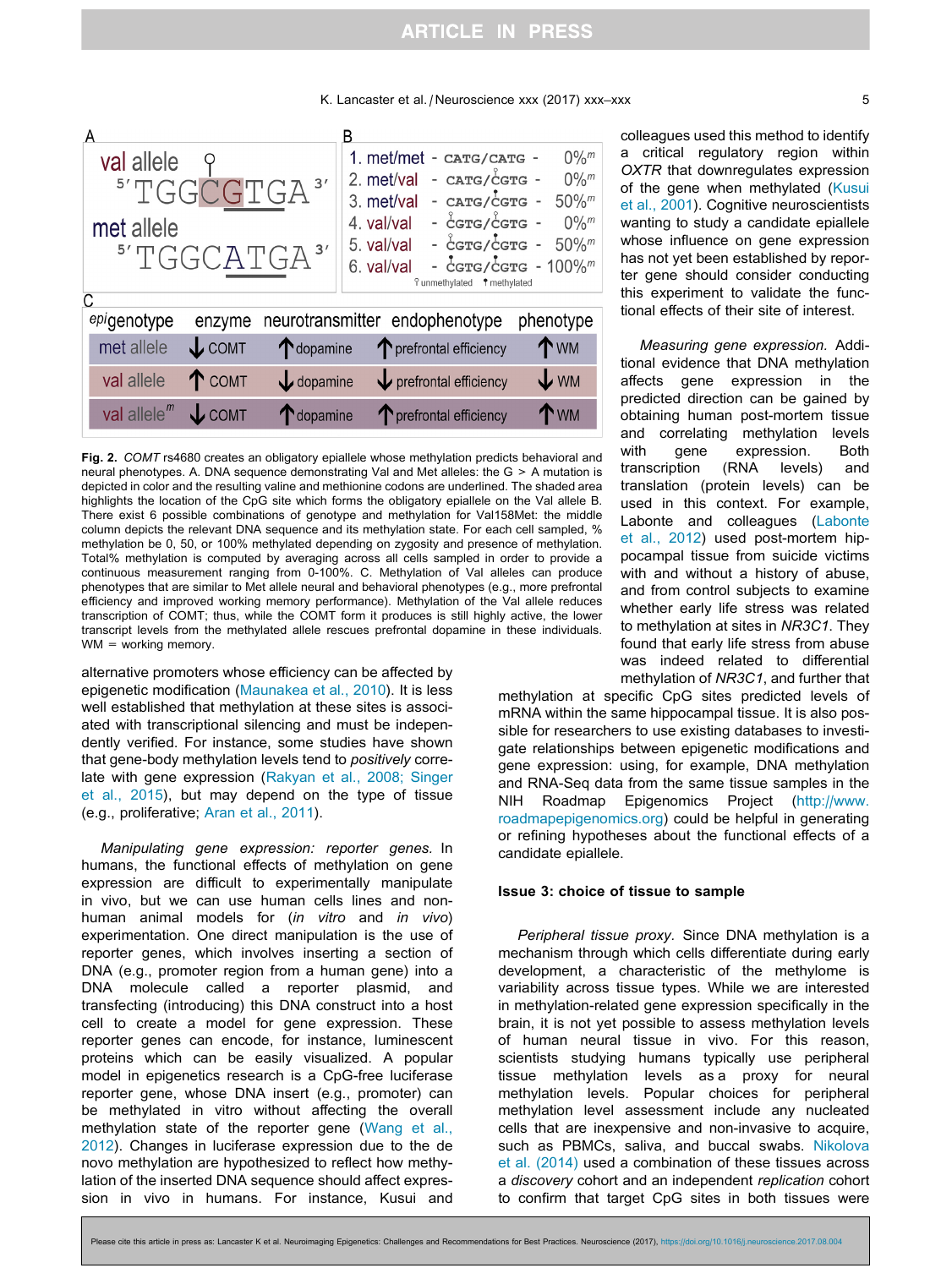K. Lancaster et al. / Neuroscience xxx (2017) xxx–xxx 5

<span id="page-4-0"></span>

Fig. 2. COMT rs4680 creates an obligatory epiallele whose methylation predicts behavioral and neural phenotypes. A. DNA sequence demonstrating Val and Met alleles: the G > A mutation is depicted in color and the resulting valine and methionine codons are underlined. The shaded area highlights the location of the CpG site which forms the obligatory epiallele on the Val allele B. There exist 6 possible combinations of genotype and methylation for Val158Met: the middle column depicts the relevant DNA sequence and its methylation state. For each cell sampled, % methylation be 0, 50, or 100% methylated depending on zygosity and presence of methylation. Total% methylation is computed by averaging across all cells sampled in order to provide a continuous measurement ranging from 0-100%. C. Methylation of Val alleles can produce phenotypes that are similar to Met allele neural and behavioral phenotypes (e.g., more prefrontal efficiency and improved working memory performance). Methylation of the Val allele reduces transcription of COMT; thus, while the COMT form it produces is still highly active, the lower transcript levels from the methylated allele rescues prefrontal dopamine in these individuals.  $WM = working memory$ .

alternative promoters whose efficiency can be affected by epigenetic modification [\(Maunakea et al., 2010\)](#page-10-0). It is less well established that methylation at these sites is associated with transcriptional silencing and must be independently verified. For instance, some studies have shown that gene-body methylation levels tend to positively correlate with gene expression [\(Rakyan et al., 2008; Singer](#page-11-0) [et al., 2015](#page-11-0)), but may depend on the type of tissue (e.g., proliferative; [Aran et al., 2011\)](#page-9-0).

Manipulating gene expression: reporter genes. In humans, the functional effects of methylation on gene expression are difficult to experimentally manipulate in vivo, but we can use human cells lines and nonhuman animal models for (in vitro and in vivo) experimentation. One direct manipulation is the use of reporter genes, which involves inserting a section of DNA (e.g., promoter region from a human gene) into a DNA molecule called a reporter plasmid, and transfecting (introducing) this DNA construct into a host cell to create a model for gene expression. These reporter genes can encode, for instance, luminescent proteins which can be easily visualized. A popular model in epigenetics research is a CpG-free luciferase reporter gene, whose DNA insert (e.g., promoter) can be methylated in vitro without affecting the overall methylation state of the reporter gene [\(Wang et al.,](#page-11-0) [2012](#page-11-0)). Changes in luciferase expression due to the de novo methylation are hypothesized to reflect how methylation of the inserted DNA sequence should affect expression in vivo in humans. For instance, Kusui and

colleagues used this method to identify a critical regulatory region within OXTR that downregulates expression of the gene when methylated [\(Kusui](#page-10-0) [et al., 2001\)](#page-10-0). Cognitive neuroscientists wanting to study a candidate epiallele whose influence on gene expression has not yet been established by reporter gene should consider conducting this experiment to validate the functional effects of their site of interest.

Measuring gene expression. Additional evidence that DNA methylation affects gene expression in the predicted direction can be gained by obtaining human post-mortem tissue and correlating methylation levels with gene expression. Both transcription (RNA levels) and translation (protein levels) can be used in this context. For example, Labonte and colleagues [\(Labonte](#page-10-0) [et al., 2012\)](#page-10-0) used post-mortem hippocampal tissue from suicide victims with and without a history of abuse, and from control subjects to examine whether early life stress was related to methylation at sites in NR3C1. They found that early life stress from abuse was indeed related to differential methylation of NR3C1, and further that

methylation at specific CpG sites predicted levels of mRNA within the same hippocampal tissue. It is also possible for researchers to use existing databases to investigate relationships between epigenetic modifications and gene expression: using, for example, DNA methylation and RNA-Seq data from the same tissue samples in the NIH Roadmap Epigenomics Project ([http://www.](http://www.roadmapepigenomics.org) [roadmapepigenomics.org](http://www.roadmapepigenomics.org)) could be helpful in generating or refining hypotheses about the functional effects of a candidate epiallele.

# Issue 3: choice of tissue to sample

Peripheral tissue proxy. Since DNA methylation is a mechanism through which cells differentiate during early development, a characteristic of the methylome is variability across tissue types. While we are interested in methylation-related gene expression specifically in the brain, it is not yet possible to assess methylation levels of human neural tissue in vivo. For this reason, scientists studying humans typically use peripheral tissue methylation levels as a proxy for neural methylation levels. Popular choices for peripheral methylation level assessment include any nucleated cells that are inexpensive and non-invasive to acquire, such as PBMCs, saliva, and buccal swabs. [Nikolova](#page-11-0) [et al. \(2014\)](#page-11-0) used a combination of these tissues across a discovery cohort and an independent replication cohort to confirm that target CpG sites in both tissues were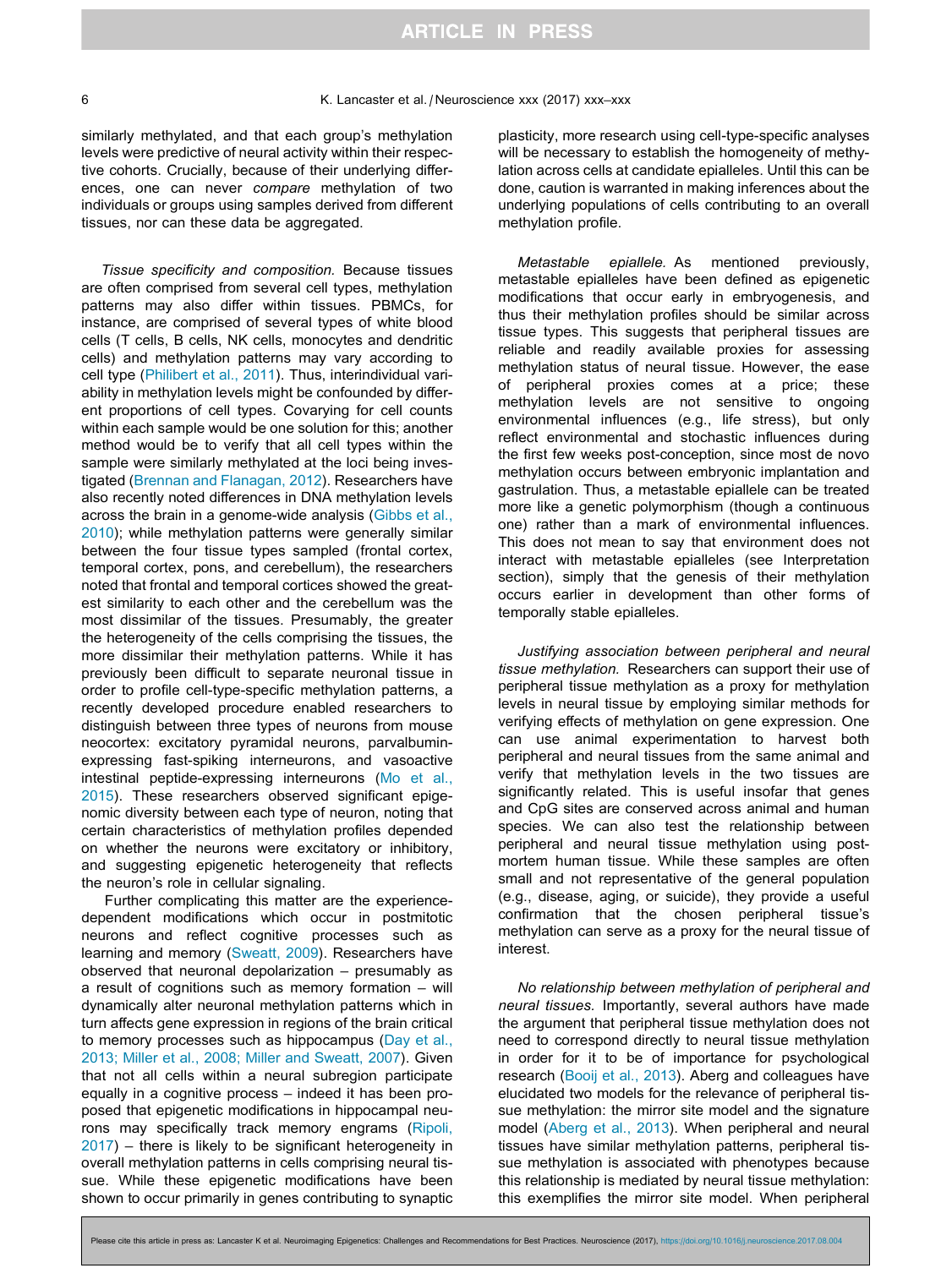similarly methylated, and that each group's methylation levels were predictive of neural activity within their respective cohorts. Crucially, because of their underlying differences, one can never compare methylation of two individuals or groups using samples derived from different tissues, nor can these data be aggregated.

Tissue specificity and composition. Because tissues are often comprised from several cell types, methylation patterns may also differ within tissues. PBMCs, for instance, are comprised of several types of white blood cells (T cells, B cells, NK cells, monocytes and dendritic cells) and methylation patterns may vary according to cell type ([Philibert et al., 2011\)](#page-11-0). Thus, interindividual variability in methylation levels might be confounded by different proportions of cell types. Covarying for cell counts within each sample would be one solution for this; another method would be to verify that all cell types within the sample were similarly methylated at the loci being investigated ([Brennan and Flanagan, 2012](#page-9-0)). Researchers have also recently noted differences in DNA methylation levels across the brain in a genome-wide analysis ([Gibbs et al.,](#page-10-0) [2010](#page-10-0)); while methylation patterns were generally similar between the four tissue types sampled (frontal cortex, temporal cortex, pons, and cerebellum), the researchers noted that frontal and temporal cortices showed the greatest similarity to each other and the cerebellum was the most dissimilar of the tissues. Presumably, the greater the heterogeneity of the cells comprising the tissues, the more dissimilar their methylation patterns. While it has previously been difficult to separate neuronal tissue in order to profile cell-type-specific methylation patterns, a recently developed procedure enabled researchers to distinguish between three types of neurons from mouse neocortex: excitatory pyramidal neurons, parvalbuminexpressing fast-spiking interneurons, and vasoactive intestinal peptide-expressing interneurons ([Mo et al.,](#page-10-0) [2015](#page-10-0)). These researchers observed significant epigenomic diversity between each type of neuron, noting that certain characteristics of methylation profiles depended on whether the neurons were excitatory or inhibitory, and suggesting epigenetic heterogeneity that reflects the neuron's role in cellular signaling.

Further complicating this matter are the experiencedependent modifications which occur in postmitotic neurons and reflect cognitive processes such as learning and memory ([Sweatt, 2009](#page-11-0)). Researchers have observed that neuronal depolarization – presumably as a result of cognitions such as memory formation – will dynamically alter neuronal methylation patterns which in turn affects gene expression in regions of the brain critical to memory processes such as hippocampus [\(Day et al.,](#page-9-0) [2013; Miller et al., 2008; Miller and Sweatt, 2007\)](#page-9-0). Given that not all cells within a neural subregion participate equally in a cognitive process – indeed it has been proposed that epigenetic modifications in hippocampal neurons may specifically track memory engrams [\(Ripoli,](#page-11-0) [2017](#page-11-0)) – there is likely to be significant heterogeneity in overall methylation patterns in cells comprising neural tissue. While these epigenetic modifications have been shown to occur primarily in genes contributing to synaptic plasticity, more research using cell-type-specific analyses will be necessary to establish the homogeneity of methylation across cells at candidate epialleles. Until this can be done, caution is warranted in making inferences about the underlying populations of cells contributing to an overall methylation profile.

Metastable epiallele. As mentioned previously, metastable epialleles have been defined as epigenetic modifications that occur early in embryogenesis, and thus their methylation profiles should be similar across tissue types. This suggests that peripheral tissues are reliable and readily available proxies for assessing methylation status of neural tissue. However, the ease of peripheral proxies comes at a price; these methylation levels are not sensitive to ongoing environmental influences (e.g., life stress), but only reflect environmental and stochastic influences during the first few weeks post-conception, since most de novo methylation occurs between embryonic implantation and gastrulation. Thus, a metastable epiallele can be treated more like a genetic polymorphism (though a continuous one) rather than a mark of environmental influences. This does not mean to say that environment does not interact with metastable epialleles (see Interpretation section), simply that the genesis of their methylation occurs earlier in development than other forms of temporally stable epialleles.

Justifying association between peripheral and neural tissue methylation. Researchers can support their use of peripheral tissue methylation as a proxy for methylation levels in neural tissue by employing similar methods for verifying effects of methylation on gene expression. One can use animal experimentation to harvest both peripheral and neural tissues from the same animal and verify that methylation levels in the two tissues are significantly related. This is useful insofar that genes and CpG sites are conserved across animal and human species. We can also test the relationship between peripheral and neural tissue methylation using postmortem human tissue. While these samples are often small and not representative of the general population (e.g., disease, aging, or suicide), they provide a useful confirmation that the chosen peripheral tissue's methylation can serve as a proxy for the neural tissue of interest.

No relationship between methylation of peripheral and neural tissues. Importantly, several authors have made the argument that peripheral tissue methylation does not need to correspond directly to neural tissue methylation in order for it to be of importance for psychological research ([Booij et al., 2013](#page-9-0)). Aberg and colleagues have elucidated two models for the relevance of peripheral tissue methylation: the mirror site model and the signature model [\(Aberg et al., 2013\)](#page-9-0). When peripheral and neural tissues have similar methylation patterns, peripheral tissue methylation is associated with phenotypes because this relationship is mediated by neural tissue methylation: this exemplifies the mirror site model. When peripheral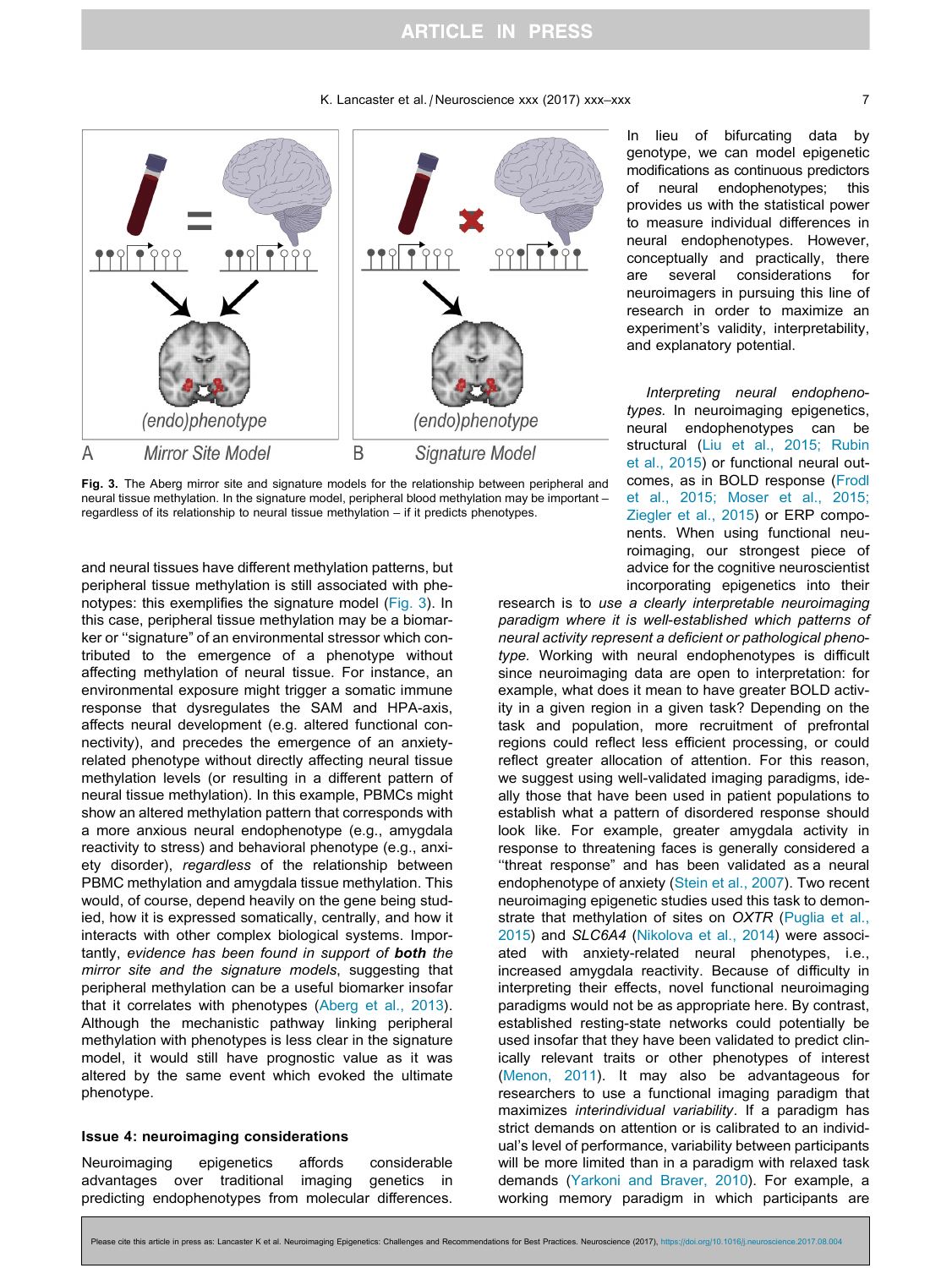K. Lancaster et al. / Neuroscience xxx (2017) xxx–xxx



Fig. 3. The Aberg mirror site and signature models for the relationship between peripheral and neural tissue methylation. In the signature model, peripheral blood methylation may be important – regardless of its relationship to neural tissue methylation – if it predicts phenotypes.

and neural tissues have different methylation patterns, but peripheral tissue methylation is still associated with phenotypes: this exemplifies the signature model (Fig. 3). In this case, peripheral tissue methylation may be a biomarker or ''signature" of an environmental stressor which contributed to the emergence of a phenotype without affecting methylation of neural tissue. For instance, an environmental exposure might trigger a somatic immune response that dysregulates the SAM and HPA-axis, affects neural development (e.g. altered functional connectivity), and precedes the emergence of an anxietyrelated phenotype without directly affecting neural tissue methylation levels (or resulting in a different pattern of neural tissue methylation). In this example, PBMCs might show an altered methylation pattern that corresponds with a more anxious neural endophenotype (e.g., amygdala reactivity to stress) and behavioral phenotype (e.g., anxiety disorder), regardless of the relationship between PBMC methylation and amygdala tissue methylation. This would, of course, depend heavily on the gene being studied, how it is expressed somatically, centrally, and how it interacts with other complex biological systems. Importantly, evidence has been found in support of both the mirror site and the signature models, suggesting that peripheral methylation can be a useful biomarker insofar that it correlates with phenotypes ([Aberg et al., 2013\)](#page-9-0). Although the mechanistic pathway linking peripheral methylation with phenotypes is less clear in the signature model, it would still have prognostic value as it was altered by the same event which evoked the ultimate phenotype.

## Issue 4: neuroimaging considerations

Neuroimaging epigenetics affords considerable advantages over traditional imaging genetics in predicting endophenotypes from molecular differences. In lieu of bifurcating data by genotype, we can model epigenetic modifications as continuous predictors of neural endophenotypes; this provides us with the statistical power to measure individual differences in neural endophenotypes. However, conceptually and practically, there are several considerations for neuroimagers in pursuing this line of research in order to maximize an experiment's validity, interpretability, and explanatory potential.

Interpreting neural endophenotypes. In neuroimaging epigenetics, neural endophenotypes can be structural ([Liu et al., 2015; Rubin](#page-10-0) [et al., 2015](#page-10-0)) or functional neural outcomes, as in BOLD response [\(Frodl](#page-10-0) [et al., 2015; Moser et al., 2015;](#page-10-0) [Ziegler et al., 2015](#page-10-0)) or ERP components. When using functional neuroimaging, our strongest piece of advice for the cognitive neuroscientist incorporating epigenetics into their

research is to use a clearly interpretable neuroimaging paradigm where it is well-established which patterns of neural activity represent a deficient or pathological phenotype. Working with neural endophenotypes is difficult since neuroimaging data are open to interpretation: for example, what does it mean to have greater BOLD activity in a given region in a given task? Depending on the task and population, more recruitment of prefrontal regions could reflect less efficient processing, or could reflect greater allocation of attention. For this reason, we suggest using well-validated imaging paradigms, ideally those that have been used in patient populations to establish what a pattern of disordered response should look like. For example, greater amygdala activity in response to threatening faces is generally considered a ''threat response" and has been validated as a neural endophenotype of anxiety [\(Stein et al., 2007\)](#page-11-0). Two recent neuroimaging epigenetic studies used this task to demon-strate that methylation of sites on OXTR ([Puglia et al.,](#page-11-0) [2015](#page-11-0)) and SLC6A4 ([Nikolova et al., 2014\)](#page-11-0) were associated with anxiety-related neural phenotypes, i.e., increased amygdala reactivity. Because of difficulty in interpreting their effects, novel functional neuroimaging paradigms would not be as appropriate here. By contrast, established resting-state networks could potentially be used insofar that they have been validated to predict clinically relevant traits or other phenotypes of interest ([Menon, 2011\)](#page-10-0). It may also be advantageous for researchers to use a functional imaging paradigm that maximizes *interindividual variability*. If a paradigm has strict demands on attention or is calibrated to an individual's level of performance, variability between participants will be more limited than in a paradigm with relaxed task demands [\(Yarkoni and Braver, 2010](#page-11-0)). For example, a working memory paradigm in which participants are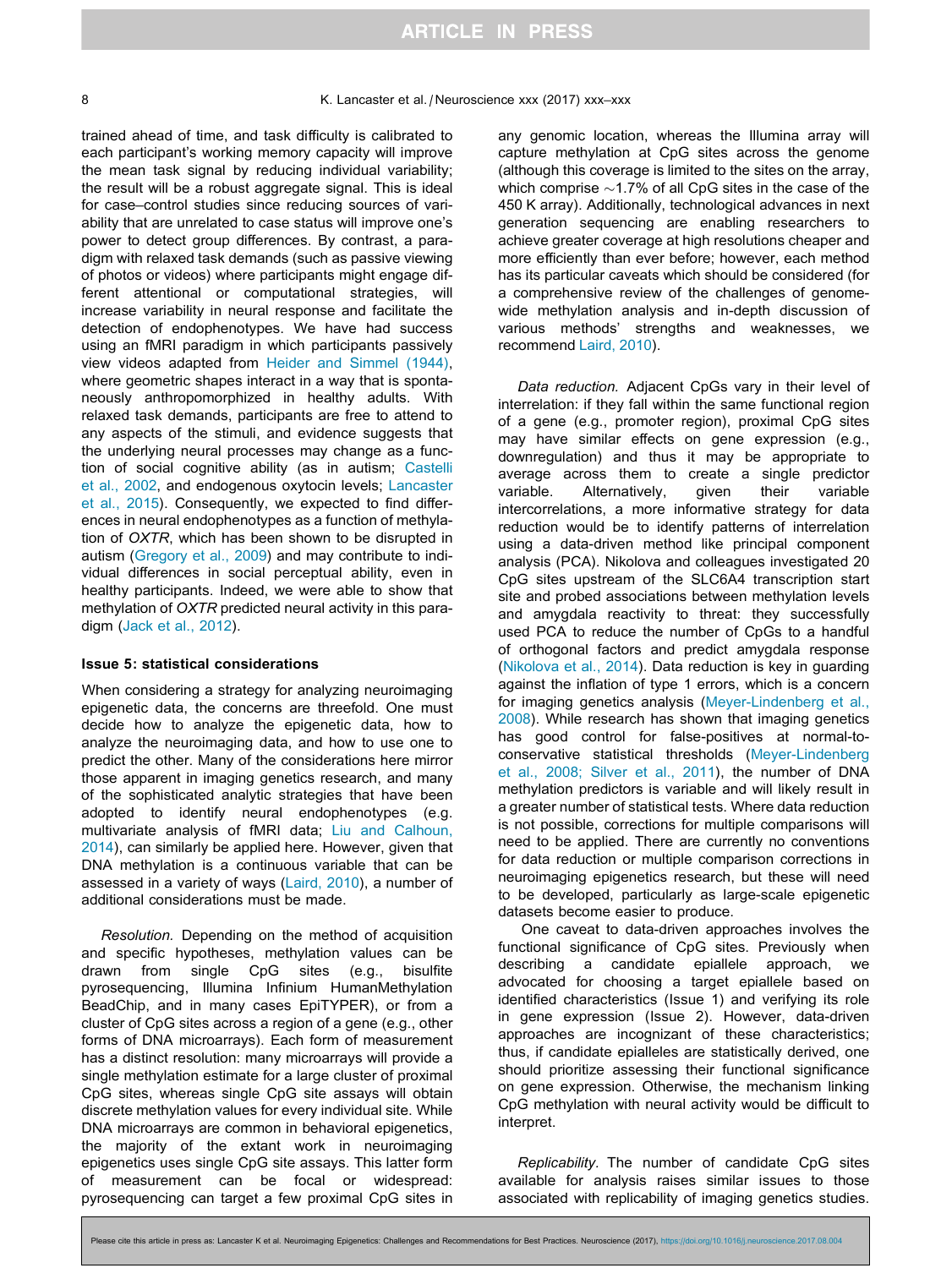trained ahead of time, and task difficulty is calibrated to each participant's working memory capacity will improve the mean task signal by reducing individual variability; the result will be a robust aggregate signal. This is ideal for case–control studies since reducing sources of variability that are unrelated to case status will improve one's power to detect group differences. By contrast, a paradigm with relaxed task demands (such as passive viewing of photos or videos) where participants might engage different attentional or computational strategies, will increase variability in neural response and facilitate the detection of endophenotypes. We have had success using an fMRI paradigm in which participants passively view videos adapted from [Heider and Simmel \(1944\),](#page-10-0) where geometric shapes interact in a way that is spontaneously anthropomorphized in healthy adults. With relaxed task demands, participants are free to attend to any aspects of the stimuli, and evidence suggests that the underlying neural processes may change as a function of social cognitive ability (as in autism; [Castelli](#page-9-0) [et al., 2002](#page-9-0), and endogenous oxytocin levels; [Lancaster](#page-10-0) [et al., 2015\)](#page-10-0). Consequently, we expected to find differences in neural endophenotypes as a function of methylation of OXTR, which has been shown to be disrupted in autism [\(Gregory et al., 2009](#page-10-0)) and may contribute to individual differences in social perceptual ability, even in healthy participants. Indeed, we were able to show that methylation of OXTR predicted neural activity in this paradigm ([Jack et al., 2012](#page-10-0)).

## Issue 5: statistical considerations

When considering a strategy for analyzing neuroimaging epigenetic data, the concerns are threefold. One must decide how to analyze the epigenetic data, how to analyze the neuroimaging data, and how to use one to predict the other. Many of the considerations here mirror those apparent in imaging genetics research, and many of the sophisticated analytic strategies that have been adopted to identify neural endophenotypes (e.g. multivariate analysis of fMRI data; [Liu and Calhoun,](#page-10-0) [2014](#page-10-0)), can similarly be applied here. However, given that DNA methylation is a continuous variable that can be assessed in a variety of ways ([Laird, 2010\)](#page-10-0), a number of additional considerations must be made.

Resolution. Depending on the method of acquisition and specific hypotheses, methylation values can be drawn from single CpG sites (e.g., bisulfite pyrosequencing, Illumina Infinium HumanMethylation BeadChip, and in many cases EpiTYPER), or from a cluster of CpG sites across a region of a gene (e.g., other forms of DNA microarrays). Each form of measurement has a distinct resolution: many microarrays will provide a single methylation estimate for a large cluster of proximal CpG sites, whereas single CpG site assays will obtain discrete methylation values for every individual site. While DNA microarrays are common in behavioral epigenetics, the majority of the extant work in neuroimaging epigenetics uses single CpG site assays. This latter form of measurement can be focal or widespread: pyrosequencing can target a few proximal CpG sites in any genomic location, whereas the Illumina array will capture methylation at CpG sites across the genome (although this coverage is limited to the sites on the array, which comprise  $\sim$ 1.7% of all CpG sites in the case of the 450 K array). Additionally, technological advances in next generation sequencing are enabling researchers to achieve greater coverage at high resolutions cheaper and more efficiently than ever before; however, each method has its particular caveats which should be considered (for a comprehensive review of the challenges of genomewide methylation analysis and in-depth discussion of various methods' strengths and weaknesses, we recommend [Laird, 2010](#page-10-0)).

Data reduction. Adjacent CpGs vary in their level of interrelation: if they fall within the same functional region of a gene (e.g., promoter region), proximal CpG sites may have similar effects on gene expression (e.g., downregulation) and thus it may be appropriate to average across them to create a single predictor<br>variable. Alternatively, given their variable variable. Alternatively, given their variable intercorrelations, a more informative strategy for data reduction would be to identify patterns of interrelation using a data-driven method like principal component analysis (PCA). Nikolova and colleagues investigated 20 CpG sites upstream of the SLC6A4 transcription start site and probed associations between methylation levels and amygdala reactivity to threat: they successfully used PCA to reduce the number of CpGs to a handful of orthogonal factors and predict amygdala response ([Nikolova et al., 2014\)](#page-11-0). Data reduction is key in guarding against the inflation of type 1 errors, which is a concern for imaging genetics analysis ([Meyer-Lindenberg et al.,](#page-10-0) [2008](#page-10-0)). While research has shown that imaging genetics has good control for false-positives at normal-toconservative statistical thresholds ([Meyer-Lindenberg](#page-10-0) [et al., 2008; Silver et al., 2011\)](#page-10-0), the number of DNA methylation predictors is variable and will likely result in a greater number of statistical tests. Where data reduction is not possible, corrections for multiple comparisons will need to be applied. There are currently no conventions for data reduction or multiple comparison corrections in neuroimaging epigenetics research, but these will need to be developed, particularly as large-scale epigenetic datasets become easier to produce.

One caveat to data-driven approaches involves the functional significance of CpG sites. Previously when describing a candidate epiallele approach, we advocated for choosing a target epiallele based on identified characteristics (Issue 1) and verifying its role in gene expression (Issue 2). However, data-driven approaches are incognizant of these characteristics; thus, if candidate epialleles are statistically derived, one should prioritize assessing their functional significance on gene expression. Otherwise, the mechanism linking CpG methylation with neural activity would be difficult to interpret.

Replicability. The number of candidate CpG sites available for analysis raises similar issues to those associated with replicability of imaging genetics studies.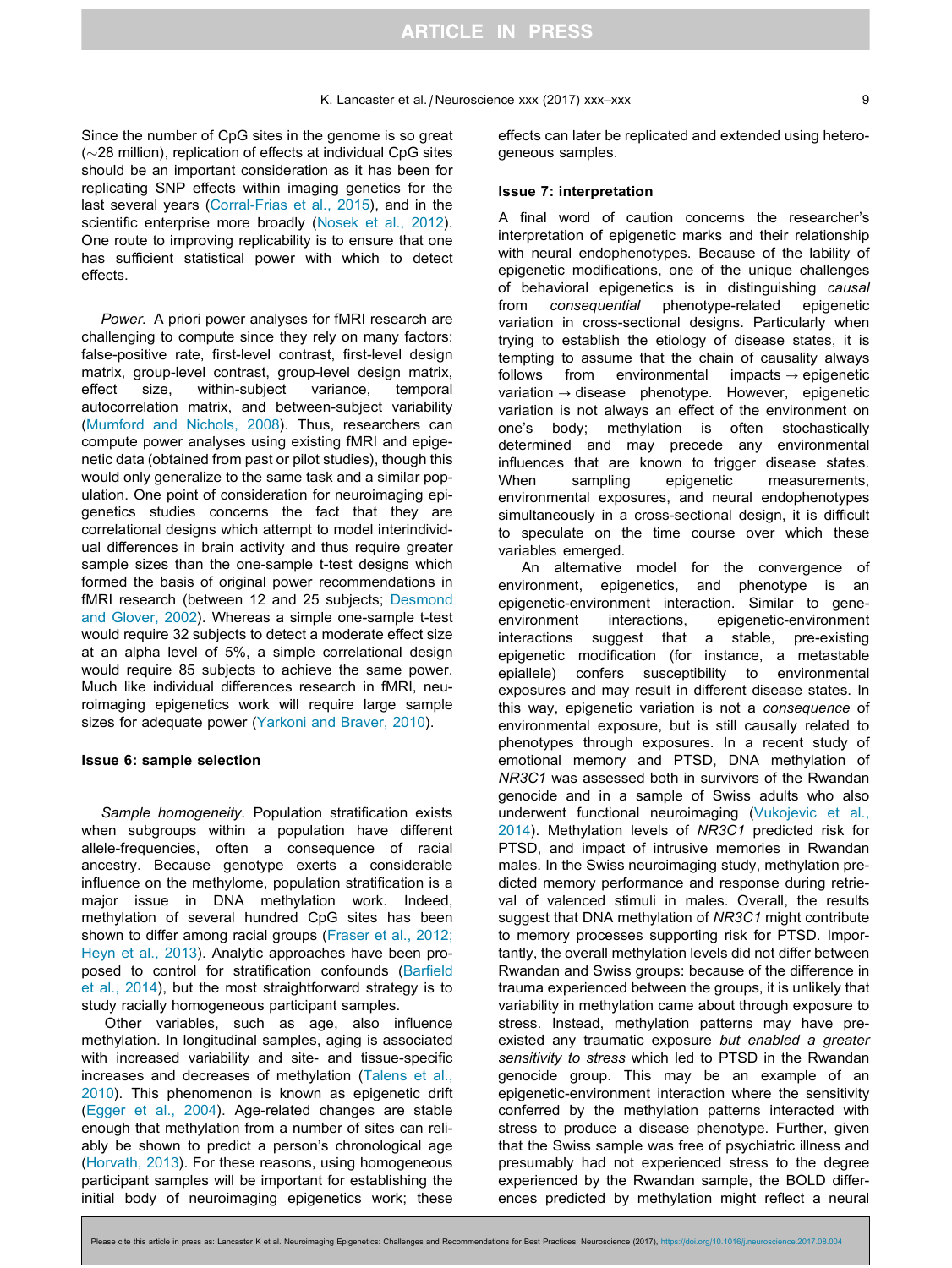Since the number of CpG sites in the genome is so great  $(\sim]28$  million), replication of effects at individual CpG sites should be an important consideration as it has been for replicating SNP effects within imaging genetics for the last several years ([Corral-Frias et al., 2015](#page-9-0)), and in the scientific enterprise more broadly [\(Nosek et al., 2012\)](#page-11-0). One route to improving replicability is to ensure that one has sufficient statistical power with which to detect effects.

Power. A priori power analyses for fMRI research are challenging to compute since they rely on many factors: false-positive rate, first-level contrast, first-level design matrix, group-level contrast, group-level design matrix, effect size, within-subject variance, temporal autocorrelation matrix, and between-subject variability [\(Mumford and Nichols, 2008](#page-11-0)). Thus, researchers can compute power analyses using existing fMRI and epigenetic data (obtained from past or pilot studies), though this would only generalize to the same task and a similar population. One point of consideration for neuroimaging epigenetics studies concerns the fact that they are correlational designs which attempt to model interindividual differences in brain activity and thus require greater sample sizes than the one-sample t-test designs which formed the basis of original power recommendations in fMRI research (between 12 and 25 subjects; [Desmond](#page-9-0) [and Glover, 2002](#page-9-0)). Whereas a simple one-sample t-test would require 32 subjects to detect a moderate effect size at an alpha level of 5%, a simple correlational design would require 85 subjects to achieve the same power. Much like individual differences research in fMRI, neuroimaging epigenetics work will require large sample sizes for adequate power ([Yarkoni and Braver, 2010](#page-11-0)).

#### Issue 6: sample selection

Sample homogeneity. Population stratification exists when subgroups within a population have different allele-frequencies, often a consequence of racial ancestry. Because genotype exerts a considerable influence on the methylome, population stratification is a major issue in DNA methylation work. Indeed, methylation of several hundred CpG sites has been shown to differ among racial groups ([Fraser et al., 2012;](#page-10-0) [Heyn et al., 2013](#page-10-0)). Analytic approaches have been proposed to control for stratification confounds [\(Barfield](#page-9-0) [et al., 2014\)](#page-9-0), but the most straightforward strategy is to study racially homogeneous participant samples.

Other variables, such as age, also influence methylation. In longitudinal samples, aging is associated with increased variability and site- and tissue-specific increases and decreases of methylation [\(Talens et al.,](#page-11-0) [2010](#page-11-0)). This phenomenon is known as epigenetic drift [\(Egger et al., 2004\)](#page-9-0). Age-related changes are stable enough that methylation from a number of sites can reliably be shown to predict a person's chronological age [\(Horvath, 2013](#page-10-0)). For these reasons, using homogeneous participant samples will be important for establishing the initial body of neuroimaging epigenetics work; these

effects can later be replicated and extended using heterogeneous samples.

# Issue 7: interpretation

A final word of caution concerns the researcher's interpretation of epigenetic marks and their relationship with neural endophenotypes. Because of the lability of epigenetic modifications, one of the unique challenges of behavioral epigenetics is in distinguishing causal<br>from consequential phenotype-related epigenetic from consequential phenotype-related epigenetic variation in cross-sectional designs. Particularly when trying to establish the etiology of disease states, it is tempting to assume that the chain of causality always follows from environmental impacts  $\rightarrow$  epigenetic variation  $\rightarrow$  disease phenotype. However, epigenetic variation is not always an effect of the environment on one's body; methylation is often stochastically determined and may precede any environmental influences that are known to trigger disease states. When sampling epigenetic measurements, environmental exposures, and neural endophenotypes simultaneously in a cross-sectional design, it is difficult to speculate on the time course over which these variables emerged.

An alternative model for the convergence of environment, epigenetics, and phenotype is an epigenetic-environment interaction. Similar to geneenvironment interactions, epigenetic-environment interactions suggest that a stable, pre-existing epigenetic modification (for instance, a metastable epiallele) confers susceptibility to environmental exposures and may result in different disease states. In this way, epigenetic variation is not a consequence of environmental exposure, but is still causally related to phenotypes through exposures. In a recent study of emotional memory and PTSD, DNA methylation of NR3C1 was assessed both in survivors of the Rwandan genocide and in a sample of Swiss adults who also underwent functional neuroimaging ([Vukojevic et al.,](#page-11-0) [2014](#page-11-0)). Methylation levels of NR3C1 predicted risk for PTSD, and impact of intrusive memories in Rwandan males. In the Swiss neuroimaging study, methylation predicted memory performance and response during retrieval of valenced stimuli in males. Overall, the results suggest that DNA methylation of NR3C1 might contribute to memory processes supporting risk for PTSD. Importantly, the overall methylation levels did not differ between Rwandan and Swiss groups: because of the difference in trauma experienced between the groups, it is unlikely that variability in methylation came about through exposure to stress. Instead, methylation patterns may have preexisted any traumatic exposure but enabled a greater sensitivity to stress which led to PTSD in the Rwandan genocide group. This may be an example of an epigenetic-environment interaction where the sensitivity conferred by the methylation patterns interacted with stress to produce a disease phenotype. Further, given that the Swiss sample was free of psychiatric illness and presumably had not experienced stress to the degree experienced by the Rwandan sample, the BOLD differences predicted by methylation might reflect a neural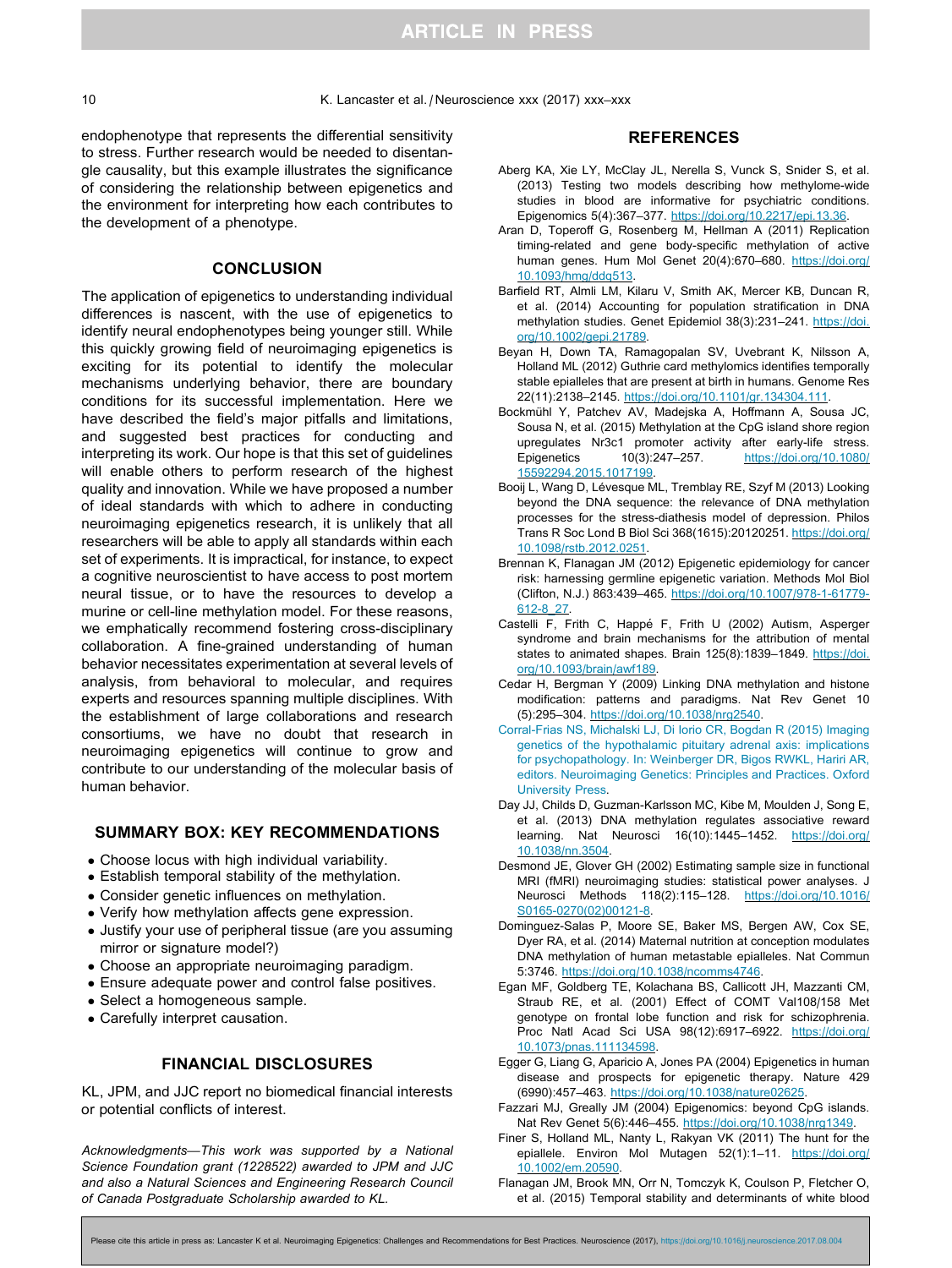<span id="page-9-0"></span>endophenotype that represents the differential sensitivity to stress. Further research would be needed to disentangle causality, but this example illustrates the significance of considering the relationship between epigenetics and the environment for interpreting how each contributes to the development of a phenotype.

# **CONCLUSION**

The application of epigenetics to understanding individual differences is nascent, with the use of epigenetics to identify neural endophenotypes being younger still. While this quickly growing field of neuroimaging epigenetics is exciting for its potential to identify the molecular mechanisms underlying behavior, there are boundary conditions for its successful implementation. Here we have described the field's major pitfalls and limitations, and suggested best practices for conducting and interpreting its work. Our hope is that this set of guidelines will enable others to perform research of the highest quality and innovation. While we have proposed a number of ideal standards with which to adhere in conducting neuroimaging epigenetics research, it is unlikely that all researchers will be able to apply all standards within each set of experiments. It is impractical, for instance, to expect a cognitive neuroscientist to have access to post mortem neural tissue, or to have the resources to develop a murine or cell-line methylation model. For these reasons, we emphatically recommend fostering cross-disciplinary collaboration. A fine-grained understanding of human behavior necessitates experimentation at several levels of analysis, from behavioral to molecular, and requires experts and resources spanning multiple disciplines. With the establishment of large collaborations and research consortiums, we have no doubt that research in neuroimaging epigenetics will continue to grow and contribute to our understanding of the molecular basis of human behavior.

# SUMMARY BOX: KEY RECOMMENDATIONS

- Choose locus with high individual variability.
- Establish temporal stability of the methylation.
- Consider genetic influences on methylation.
- Verify how methylation affects gene expression.
- Justify your use of peripheral tissue (are you assuming mirror or signature model?)
- Choose an appropriate neuroimaging paradigm.
- Ensure adequate power and control false positives.
- Select a homogeneous sample.
- Carefully interpret causation.

# FINANCIAL DISCLOSURES

KL, JPM, and JJC report no biomedical financial interests or potential conflicts of interest.

Acknowledgments—This work was supported by a National Science Foundation grant (1228522) awarded to JPM and JJC and also a Natural Sciences and Engineering Research Council of Canada Postgraduate Scholarship awarded to KL.

# REFERENCES

- Aberg KA, Xie LY, McClay JL, Nerella S, Vunck S, Snider S, et al. (2013) Testing two models describing how methylome-wide studies in blood are informative for psychiatric conditions. Epigenomics 5(4):367–377. [https://doi.org/10.2217/epi.13.36.](https://doi.org/10.2217/epi.13.36)
- Aran D, Toperoff G, Rosenberg M, Hellman A (2011) Replication timing-related and gene body-specific methylation of active human genes. Hum Mol Genet 20(4):670–680. [https://doi.org/](https://doi.org/10.1093/hmg/ddq513) [10.1093/hmg/ddq513.](https://doi.org/10.1093/hmg/ddq513)
- Barfield RT, Almli LM, Kilaru V, Smith AK, Mercer KB, Duncan R, et al. (2014) Accounting for population stratification in DNA methylation studies. Genet Epidemiol 38(3):231–241. [https://doi.](https://doi.org/10.1002/gepi.21789) [org/10.1002/gepi.21789](https://doi.org/10.1002/gepi.21789).
- Beyan H, Down TA, Ramagopalan SV, Uvebrant K, Nilsson A, Holland ML (2012) Guthrie card methylomics identifies temporally stable epialleles that are present at birth in humans. Genome Res 22(11):2138–2145. <https://doi.org/10.1101/gr.134304.111>.
- Bockmühl Y, Patchev AV, Madejska A, Hoffmann A, Sousa JC, Sousa N, et al. (2015) Methylation at the CpG island shore region upregulates Nr3c1 promoter activity after early-life stress. Epigenetics 10(3):247–257. [https://doi.org/10.1080/](https://doi.org/10.1080/15592294.2015.1017199) [15592294.2015.1017199.](https://doi.org/10.1080/15592294.2015.1017199)
- Booij L, Wang D, Lévesque ML, Tremblay RE, Szyf M (2013) Looking beyond the DNA sequence: the relevance of DNA methylation processes for the stress-diathesis model of depression. Philos Trans R Soc Lond B Biol Sci 368(1615):20120251. [https://doi.org/](https://doi.org/10.1098/rstb.2012.0251) [10.1098/rstb.2012.0251.](https://doi.org/10.1098/rstb.2012.0251)
- Brennan K, Flanagan JM (2012) Epigenetic epidemiology for cancer risk: harnessing germline epigenetic variation. Methods Mol Biol (Clifton, N.J.) 863:439–465. [https://doi.org/10.1007/978-1-61779-](https://doi.org/10.1007/978-1-61779-612-8_27) [612-8\\_27.](https://doi.org/10.1007/978-1-61779-612-8_27)
- Castelli F, Frith C, Happé F, Frith U (2002) Autism, Asperger syndrome and brain mechanisms for the attribution of mental states to animated shapes. Brain 125(8):1839-1849. [https://doi.](https://doi.org/10.1093/brain/awf189) [org/10.1093/brain/awf189](https://doi.org/10.1093/brain/awf189).
- Cedar H, Bergman Y (2009) Linking DNA methylation and histone modification: patterns and paradigms. Nat Rev Genet 10 (5):295–304. [https://doi.org/10.1038/nrg2540.](https://doi.org/10.1038/nrg2540)
- [Corral-Frias NS, Michalski LJ, Di Iorio CR, Bogdan R \(2015\) Imaging](http://refhub.elsevier.com/S0306-4522(17)30562-6/h0050) [genetics of the hypothalamic pituitary adrenal axis: implications](http://refhub.elsevier.com/S0306-4522(17)30562-6/h0050) [for psychopathology. In: Weinberger DR, Bigos RWKL, Hariri AR,](http://refhub.elsevier.com/S0306-4522(17)30562-6/h0050) [editors. Neuroimaging Genetics: Principles and Practices. Oxford](http://refhub.elsevier.com/S0306-4522(17)30562-6/h0050) [University Press](http://refhub.elsevier.com/S0306-4522(17)30562-6/h0050).
- Day JJ, Childs D, Guzman-Karlsson MC, Kibe M, Moulden J, Song E, et al. (2013) DNA methylation regulates associative reward learning. Nat Neurosci 16(10):1445–1452. [https://doi.org/](https://doi.org/10.1038/nn.3504) [10.1038/nn.3504](https://doi.org/10.1038/nn.3504).
- Desmond JE, Glover GH (2002) Estimating sample size in functional MRI (fMRI) neuroimaging studies: statistical power analyses. J Neurosci Methods 118(2):115–128. [https://doi.org/10.1016/](https://doi.org/10.1016/S0165-0270(02)00121-8) [S0165-0270\(02\)00121-8.](https://doi.org/10.1016/S0165-0270(02)00121-8)
- Dominguez-Salas P, Moore SE, Baker MS, Bergen AW, Cox SE, Dyer RA, et al. (2014) Maternal nutrition at conception modulates DNA methylation of human metastable epialleles. Nat Commun 5:3746. [https://doi.org/10.1038/ncomms4746.](https://doi.org/10.1038/ncomms4746)
- Egan MF, Goldberg TE, Kolachana BS, Callicott JH, Mazzanti CM, Straub RE, et al. (2001) Effect of COMT Val108/158 Met genotype on frontal lobe function and risk for schizophrenia. Proc Natl Acad Sci USA 98(12):6917–6922. [https://doi.org/](https://doi.org/10.1073/pnas.111134598) [10.1073/pnas.111134598](https://doi.org/10.1073/pnas.111134598).
- Egger G, Liang G, Aparicio A, Jones PA (2004) Epigenetics in human disease and prospects for epigenetic therapy. Nature 429 (6990):457–463. <https://doi.org/10.1038/nature02625>.
- Fazzari MJ, Greally JM (2004) Epigenomics: beyond CpG islands. Nat Rev Genet 5(6):446–455. [https://doi.org/10.1038/nrg1349.](https://doi.org/10.1038/nrg1349)
- Finer S, Holland ML, Nanty L, Rakyan VK (2011) The hunt for the epiallele. Environ Mol Mutagen 52(1):1-11. [https://doi.org/](https://doi.org/10.1002/em.20590) [10.1002/em.20590](https://doi.org/10.1002/em.20590).
- Flanagan JM, Brook MN, Orr N, Tomczyk K, Coulson P, Fletcher O, et al. (2015) Temporal stability and determinants of white blood

Please cite this article in press as: Lancaster K et al. Neuroimaging Epigenetics: Challenges and Recommendations for Best Practices. Neuroscience (2017), <https://doi.org/10.1016/j.neuroscience.2017.08.004>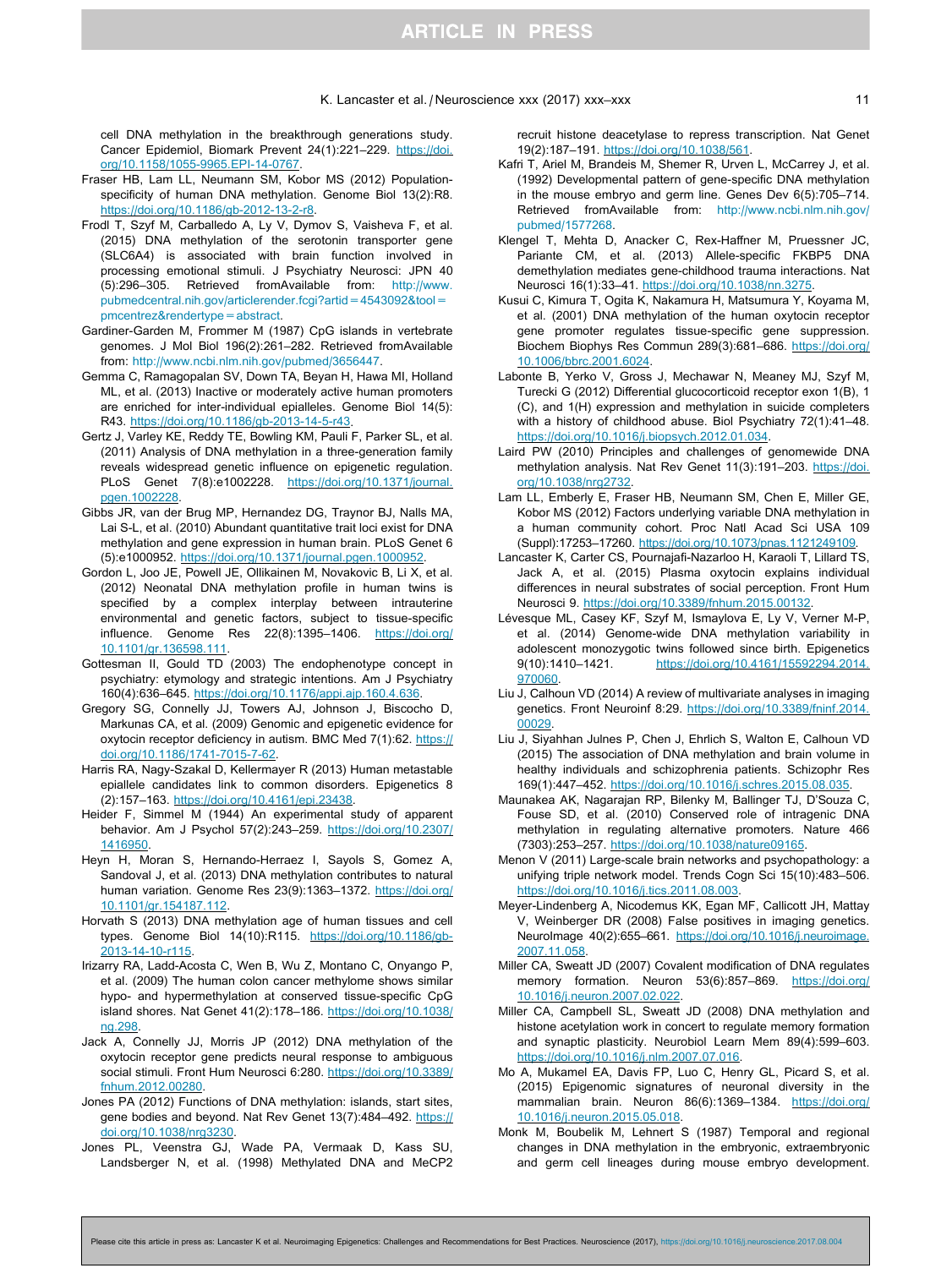#### K. Lancaster et al. / Neuroscience xxx (2017) xxx–xxx 11

<span id="page-10-0"></span>cell DNA methylation in the breakthrough generations study. Cancer Epidemiol, Biomark Prevent 24(1):221-229. [https://doi.](https://doi.org/10.1158/1055-9965.EPI-14-0767) [org/10.1158/1055-9965.EPI-14-0767](https://doi.org/10.1158/1055-9965.EPI-14-0767).

- Fraser HB, Lam LL, Neumann SM, Kobor MS (2012) Populationspecificity of human DNA methylation. Genome Biol 13(2):R8. <https://doi.org/10.1186/gb-2012-13-2-r8>.
- Frodl T, Szyf M, Carballedo A, Ly V, Dymov S, Vaisheva F, et al. (2015) DNA methylation of the serotonin transporter gene (SLC6A4) is associated with brain function involved in processing emotional stimuli. J Psychiatry Neurosci: JPN 40 (5):296–305. Retrieved fromAvailable from: [http://www.](http://www.pubmedcentral.nih.gov/articlerender.fcgi?artid=4543092%26tool=pmcentrez%26rendertype=abstract) [pubmedcentral.nih.gov/articlerender.fcgi?artid=4543092&tool=](http://www.pubmedcentral.nih.gov/articlerender.fcgi?artid=4543092%26tool=pmcentrez%26rendertype=abstract) [pmcentrez&rendertype=abstract](http://www.pubmedcentral.nih.gov/articlerender.fcgi?artid=4543092%26tool=pmcentrez%26rendertype=abstract).
- Gardiner-Garden M, Frommer M (1987) CpG islands in vertebrate genomes. J Mol Biol 196(2):261–282. Retrieved fromAvailable from: [http://www.ncbi.nlm.nih.gov/pubmed/3656447.](http://www.ncbi.nlm.nih.gov/pubmed/3656447)
- Gemma C, Ramagopalan SV, Down TA, Beyan H, Hawa MI, Holland ML, et al. (2013) Inactive or moderately active human promoters are enriched for inter-individual epialleles. Genome Biol 14(5): R43. <https://doi.org/10.1186/gb-2013-14-5-r43>.
- Gertz J, Varley KE, Reddy TE, Bowling KM, Pauli F, Parker SL, et al. (2011) Analysis of DNA methylation in a three-generation family reveals widespread genetic influence on epigenetic regulation. PLoS Genet 7(8):e1002228. [https://doi.org/10.1371/journal.](https://doi.org/10.1371/journal.pgen.1002228) [pgen.1002228.](https://doi.org/10.1371/journal.pgen.1002228)
- Gibbs JR, van der Brug MP, Hernandez DG, Traynor BJ, Nalls MA, Lai S-L, et al. (2010) Abundant quantitative trait loci exist for DNA methylation and gene expression in human brain. PLoS Genet 6 (5):e1000952. <https://doi.org/10.1371/journal.pgen.1000952>.
- Gordon L, Joo JE, Powell JE, Ollikainen M, Novakovic B, Li X, et al. (2012) Neonatal DNA methylation profile in human twins is specified by a complex interplay between intrauterine environmental and genetic factors, subject to tissue-specific influence. Genome Res 22(8):1395–1406. [https://doi.org/](https://doi.org/10.1101/gr.136598.111) [10.1101/gr.136598.111.](https://doi.org/10.1101/gr.136598.111)
- Gottesman II, Gould TD (2003) The endophenotype concept in psychiatry: etymology and strategic intentions. Am J Psychiatry 160(4):636–645. [https://doi.org/10.1176/appi.ajp.160.4.636.](https://doi.org/10.1176/appi.ajp.160.4.636)
- Gregory SG, Connelly JJ, Towers AJ, Johnson J, Biscocho D, Markunas CA, et al. (2009) Genomic and epigenetic evidence for oxytocin receptor deficiency in autism. BMC Med 7(1):62. [https://](https://doi.org/10.1186/1741-7015-7-62) [doi.org/10.1186/1741-7015-7-62](https://doi.org/10.1186/1741-7015-7-62).
- Harris RA, Nagy-Szakal D, Kellermayer R (2013) Human metastable epiallele candidates link to common disorders. Epigenetics 8 (2):157–163. [https://doi.org/10.4161/epi.23438.](https://doi.org/10.4161/epi.23438)
- Heider F, Simmel M (1944) An experimental study of apparent behavior. Am J Psychol 57(2):243–259. [https://doi.org/10.2307/](https://doi.org/10.2307/1416950) [1416950.](https://doi.org/10.2307/1416950)
- Heyn H, Moran S, Hernando-Herraez I, Sayols S, Gomez A, Sandoval J, et al. (2013) DNA methylation contributes to natural human variation. Genome Res 23(9):1363-1372. [https://doi.org/](https://doi.org/10.1101/gr.154187.112) [10.1101/gr.154187.112.](https://doi.org/10.1101/gr.154187.112)
- Horvath S (2013) DNA methylation age of human tissues and cell types. Genome Biol 14(10):R115. [https://doi.org/10.1186/gb-](https://doi.org/10.1186/gb-2013-14-10-r115)[2013-14-10-r115.](https://doi.org/10.1186/gb-2013-14-10-r115)
- Irizarry RA, Ladd-Acosta C, Wen B, Wu Z, Montano C, Onyango P, et al. (2009) The human colon cancer methylome shows similar hypo- and hypermethylation at conserved tissue-specific CpG island shores. Nat Genet 41(2):178–186. [https://doi.org/10.1038/](https://doi.org/10.1038/ng.298) [ng.298](https://doi.org/10.1038/ng.298).
- Jack A, Connelly JJ, Morris JP (2012) DNA methylation of the oxytocin receptor gene predicts neural response to ambiguous social stimuli. Front Hum Neurosci 6:280. [https://doi.org/10.3389/](https://doi.org/10.3389/fnhum.2012.00280) [fnhum.2012.00280.](https://doi.org/10.3389/fnhum.2012.00280)
- Jones PA (2012) Functions of DNA methylation: islands, start sites, gene bodies and beyond. Nat Rev Genet 13(7):484-492. [https://](https://doi.org/10.1038/nrg3230) [doi.org/10.1038/nrg3230](https://doi.org/10.1038/nrg3230).
- Jones PL, Veenstra GJ, Wade PA, Vermaak D, Kass SU, Landsberger N, et al. (1998) Methylated DNA and MeCP2

recruit histone deacetylase to repress transcription. Nat Genet 19(2):187–191. <https://doi.org/10.1038/561>.

- Kafri T, Ariel M, Brandeis M, Shemer R, Urven L, McCarrey J, et al. (1992) Developmental pattern of gene-specific DNA methylation in the mouse embryo and germ line. Genes Dev 6(5):705–714. Retrieved fromAvailable from: [http://www.ncbi.nlm.nih.gov/](http://www.ncbi.nlm.nih.gov/pubmed/1577268) [pubmed/1577268](http://www.ncbi.nlm.nih.gov/pubmed/1577268).
- Klengel T, Mehta D, Anacker C, Rex-Haffner M, Pruessner JC, Pariante CM, et al. (2013) Allele-specific FKBP5 DNA demethylation mediates gene-childhood trauma interactions. Nat Neurosci 16(1):33–41. <https://doi.org/10.1038/nn.3275>.
- Kusui C, Kimura T, Ogita K, Nakamura H, Matsumura Y, Koyama M, et al. (2001) DNA methylation of the human oxytocin receptor gene promoter regulates tissue-specific gene suppression. Biochem Biophys Res Commun 289(3):681–686. [https://doi.org/](https://doi.org/10.1006/bbrc.2001.6024) [10.1006/bbrc.2001.6024.](https://doi.org/10.1006/bbrc.2001.6024)
- Labonte B, Yerko V, Gross J, Mechawar N, Meaney MJ, Szyf M, Turecki G (2012) Differential glucocorticoid receptor exon 1(B), 1 (C), and 1(H) expression and methylation in suicide completers with a history of childhood abuse. Biol Psychiatry 72(1):41–48. [https://doi.org/10.1016/j.biopsych.2012.01.034.](https://doi.org/10.1016/j.biopsych.2012.01.034)
- Laird PW (2010) Principles and challenges of genomewide DNA methylation analysis. Nat Rev Genet 11(3):191-203. [https://doi.](https://doi.org/10.1038/nrg2732) [org/10.1038/nrg2732.](https://doi.org/10.1038/nrg2732)
- Lam LL, Emberly E, Fraser HB, Neumann SM, Chen E, Miller GE, Kobor MS (2012) Factors underlying variable DNA methylation in a human community cohort. Proc Natl Acad Sci USA 109 (Suppl):17253–17260. <https://doi.org/10.1073/pnas.1121249109>.
- Lancaster K, Carter CS, Pournajafi-Nazarloo H, Karaoli T, Lillard TS, Jack A, et al. (2015) Plasma oxytocin explains individual differences in neural substrates of social perception. Front Hum Neurosci 9. <https://doi.org/10.3389/fnhum.2015.00132>.
- Lévesque ML, Casey KF, Szyf M, Ismaylova E, Ly V, Verner M-P, et al. (2014) Genome-wide DNA methylation variability in adolescent monozygotic twins followed since birth. Epigenetics 9(10):1410–1421. [https://doi.org/10.4161/15592294.2014.](https://doi.org/10.4161/15592294.2014.970060) [970060](https://doi.org/10.4161/15592294.2014.970060).
- Liu J, Calhoun VD (2014) A review of multivariate analyses in imaging genetics. Front Neuroinf 8:29. [https://doi.org/10.3389/fninf.2014.](https://doi.org/10.3389/fninf.2014.00029) [00029.](https://doi.org/10.3389/fninf.2014.00029)
- Liu J, Siyahhan Julnes P, Chen J, Ehrlich S, Walton E, Calhoun VD (2015) The association of DNA methylation and brain volume in healthy individuals and schizophrenia patients. Schizophr Res 169(1):447–452. [https://doi.org/10.1016/j.schres.2015.08.035.](https://doi.org/10.1016/j.schres.2015.08.035)
- Maunakea AK, Nagarajan RP, Bilenky M, Ballinger TJ, D'Souza C, Fouse SD, et al. (2010) Conserved role of intragenic DNA methylation in regulating alternative promoters. Nature 466 (7303):253–257. <https://doi.org/10.1038/nature09165>.
- Menon V (2011) Large-scale brain networks and psychopathology: a unifying triple network model. Trends Cogn Sci 15(10):483–506. <https://doi.org/10.1016/j.tics.2011.08.003>.
- Meyer-Lindenberg A, Nicodemus KK, Egan MF, Callicott JH, Mattay V, Weinberger DR (2008) False positives in imaging genetics. NeuroImage 40(2):655–661. [https://doi.org/10.1016/j.neuroimage.](https://doi.org/10.1016/j.neuroimage.2007.11.058) [2007.11.058](https://doi.org/10.1016/j.neuroimage.2007.11.058).
- Miller CA, Sweatt JD (2007) Covalent modification of DNA regulates memory formation. Neuron 53(6):857–869. [https://doi.org/](https://doi.org/10.1016/j.neuron.2007.02.022) [10.1016/j.neuron.2007.02.022.](https://doi.org/10.1016/j.neuron.2007.02.022)
- Miller CA, Campbell SL, Sweatt JD (2008) DNA methylation and histone acetylation work in concert to regulate memory formation and synaptic plasticity. Neurobiol Learn Mem 89(4):599–603. [https://doi.org/10.1016/j.nlm.2007.07.016.](https://doi.org/10.1016/j.nlm.2007.07.016)
- Mo A, Mukamel EA, Davis FP, Luo C, Henry GL, Picard S, et al. (2015) Epigenomic signatures of neuronal diversity in the mammalian brain. Neuron 86(6):1369–1384. [https://doi.org/](https://doi.org/10.1016/j.neuron.2015.05.018) [10.1016/j.neuron.2015.05.018.](https://doi.org/10.1016/j.neuron.2015.05.018)
- Monk M, Boubelik M, Lehnert S (1987) Temporal and regional changes in DNA methylation in the embryonic, extraembryonic and germ cell lineages during mouse embryo development.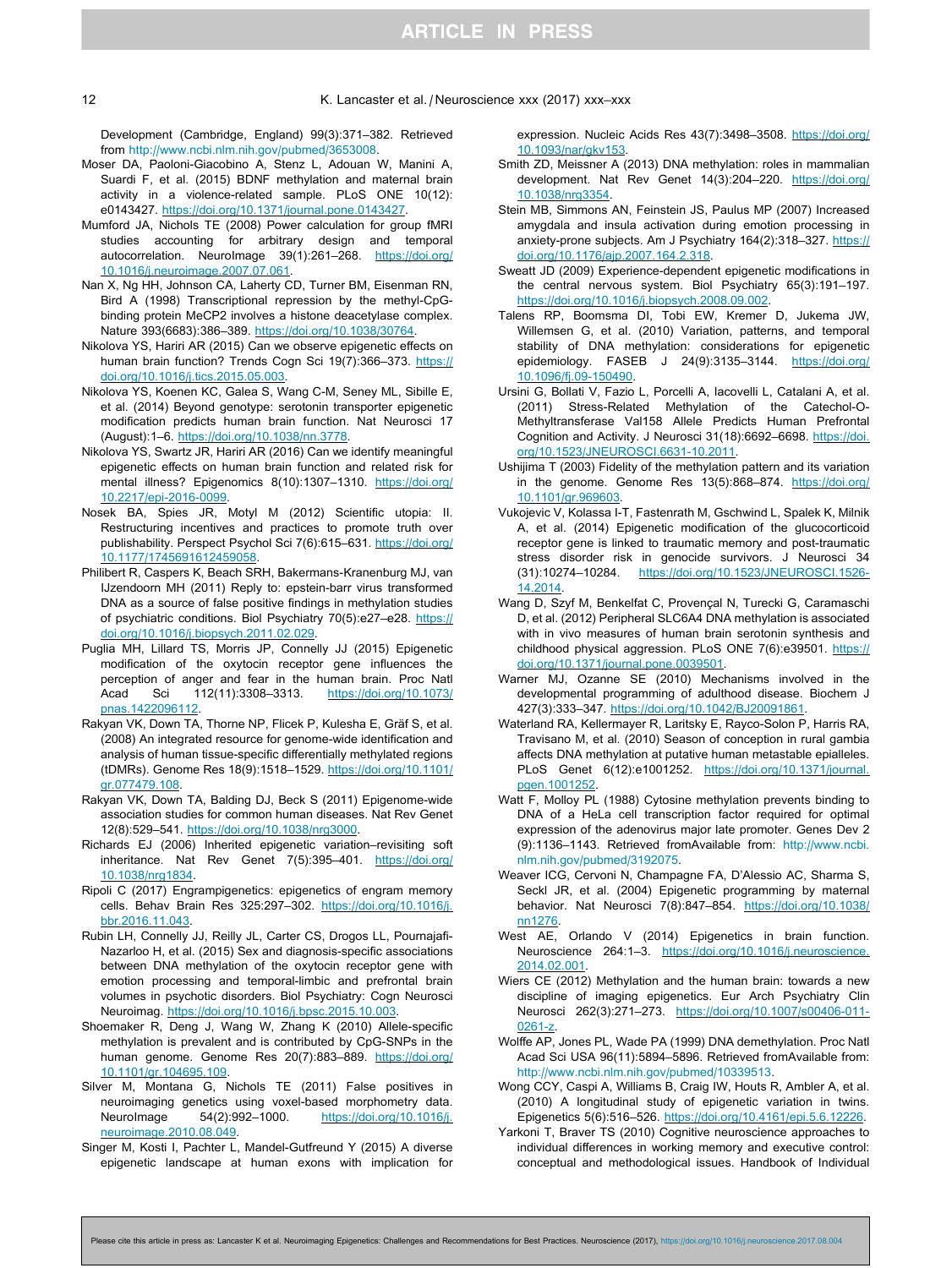#### <span id="page-11-0"></span>12 K. Lancaster et al. / Neuroscience xxx (2017) xxx–xxx

Development (Cambridge, England) 99(3):371–382. Retrieved from [http://www.ncbi.nlm.nih.gov/pubmed/3653008.](http://www.ncbi.nlm.nih.gov/pubmed/3653008)

- Moser DA, Paoloni-Giacobino A, Stenz L, Adouan W, Manini A, Suardi F, et al. (2015) BDNF methylation and maternal brain activity in a violence-related sample. PLoS ONE 10(12): e0143427. [https://doi.org/10.1371/journal.pone.0143427.](https://doi.org/10.1371/journal.pone.0143427)
- Mumford JA, Nichols TE (2008) Power calculation for group fMRI studies accounting for arbitrary design and temporal autocorrelation. NeuroImage 39(1):261-268. [https://doi.org/](https://doi.org/10.1016/j.neuroimage.2007.07.061) [10.1016/j.neuroimage.2007.07.061](https://doi.org/10.1016/j.neuroimage.2007.07.061).
- Nan X, Ng HH, Johnson CA, Laherty CD, Turner BM, Eisenman RN, Bird A (1998) Transcriptional repression by the methyl-CpGbinding protein MeCP2 involves a histone deacetylase complex. Nature 393(6683):386–389. <https://doi.org/10.1038/30764>.
- Nikolova YS, Hariri AR (2015) Can we observe epigenetic effects on human brain function? Trends Cogn Sci 19(7):366-373. [https://](https://doi.org/10.1016/j.tics.2015.05.003) [doi.org/10.1016/j.tics.2015.05.003](https://doi.org/10.1016/j.tics.2015.05.003).
- Nikolova YS, Koenen KC, Galea S, Wang C-M, Seney ML, Sibille E, et al. (2014) Beyond genotype: serotonin transporter epigenetic modification predicts human brain function. Nat Neurosci 17 (August):1–6. <https://doi.org/10.1038/nn.3778>.
- Nikolova YS, Swartz JR, Hariri AR (2016) Can we identify meaningful epigenetic effects on human brain function and related risk for mental illness? Epigenomics 8(10):1307–1310. [https://doi.org/](https://doi.org/10.2217/epi-2016-0099) [10.2217/epi-2016-0099.](https://doi.org/10.2217/epi-2016-0099)
- Nosek BA, Spies JR, Motyl M (2012) Scientific utopia: II. Restructuring incentives and practices to promote truth over publishability. Perspect Psychol Sci 7(6):615-631. [https://doi.org/](https://doi.org/10.1177/1745691612459058) [10.1177/1745691612459058](https://doi.org/10.1177/1745691612459058).
- Philibert R, Caspers K, Beach SRH, Bakermans-Kranenburg MJ, van IJzendoorn MH (2011) Reply to: epstein-barr virus transformed DNA as a source of false positive findings in methylation studies of psychiatric conditions. Biol Psychiatry 70(5):e27-e28. [https://](https://doi.org/10.1016/j.biopsych.2011.02.029) [doi.org/10.1016/j.biopsych.2011.02.029.](https://doi.org/10.1016/j.biopsych.2011.02.029)
- Puglia MH, Lillard TS, Morris JP, Connelly JJ (2015) Epigenetic modification of the oxytocin receptor gene influences the perception of anger and fear in the human brain. Proc Natl<br>Acad Sci 112(11):3308–3313. https://doi.org/10.1073/ [https://doi.org/10.1073/](https://doi.org/10.1073/pnas.1422096112) [pnas.1422096112](https://doi.org/10.1073/pnas.1422096112).
- Rakyan VK, Down TA, Thorne NP, Flicek P, Kulesha E, Gräf S, et al. (2008) An integrated resource for genome-wide identification and analysis of human tissue-specific differentially methylated regions (tDMRs). Genome Res 18(9):1518–1529. [https://doi.org/10.1101/](https://doi.org/10.1101/gr.077479.108) [gr.077479.108](https://doi.org/10.1101/gr.077479.108).
- Rakyan VK, Down TA, Balding DJ, Beck S (2011) Epigenome-wide association studies for common human diseases. Nat Rev Genet 12(8):529–541. [https://doi.org/10.1038/nrg3000.](https://doi.org/10.1038/nrg3000)
- Richards EJ (2006) Inherited epigenetic variation–revisiting soft inheritance. Nat Rev Genet 7(5):395-401. [https://doi.org/](https://doi.org/10.1038/nrg1834) [10.1038/nrg1834.](https://doi.org/10.1038/nrg1834)
- Ripoli C (2017) Engrampigenetics: epigenetics of engram memory cells. Behav Brain Res 325:297-302. [https://doi.org/10.1016/j.](https://doi.org/10.1016/j.bbr.2016.11.043) [bbr.2016.11.043.](https://doi.org/10.1016/j.bbr.2016.11.043)
- Rubin LH, Connelly JJ, Reilly JL, Carter CS, Drogos LL, Pournajafi-Nazarloo H, et al. (2015) Sex and diagnosis-specific associations between DNA methylation of the oxytocin receptor gene with emotion processing and temporal-limbic and prefrontal brain volumes in psychotic disorders. Biol Psychiatry: Cogn Neurosci Neuroimag. [https://doi.org/10.1016/j.bpsc.2015.10.003.](https://doi.org/10.1016/j.bpsc.2015.10.003)
- Shoemaker R, Deng J, Wang W, Zhang K (2010) Allele-specific methylation is prevalent and is contributed by CpG-SNPs in the human genome. Genome Res 20(7):883–889. [https://doi.org/](https://doi.org/10.1101/gr.104695.109) [10.1101/gr.104695.109.](https://doi.org/10.1101/gr.104695.109)
- Silver M, Montana G, Nichols TE (2011) False positives in neuroimaging genetics using voxel-based morphometry data. NeuroImage 54(2):992–1000. [https://doi.org/10.1016/j.](https://doi.org/10.1016/j.neuroimage.2010.08.049) [neuroimage.2010.08.049.](https://doi.org/10.1016/j.neuroimage.2010.08.049)
- Singer M, Kosti I, Pachter L, Mandel-Gutfreund Y (2015) A diverse epigenetic landscape at human exons with implication for

expression. Nucleic Acids Res 43(7):3498–3508. [https://doi.org/](https://doi.org/10.1093/nar/gkv153) [10.1093/nar/gkv153](https://doi.org/10.1093/nar/gkv153).

- Smith ZD, Meissner A (2013) DNA methylation: roles in mammalian development. Nat Rev Genet 14(3):204-220. [https://doi.org/](https://doi.org/10.1038/nrg3354) [10.1038/nrg3354](https://doi.org/10.1038/nrg3354).
- Stein MB, Simmons AN, Feinstein JS, Paulus MP (2007) Increased amygdala and insula activation during emotion processing in anxiety-prone subjects. Am J Psychiatry 164(2):318-327. [https://](https://doi.org/10.1176/ajp.2007.164.2.318) [doi.org/10.1176/ajp.2007.164.2.318](https://doi.org/10.1176/ajp.2007.164.2.318).
- Sweatt JD (2009) Experience-dependent epigenetic modifications in the central nervous system. Biol Psychiatry 65(3):191–197. [https://doi.org/10.1016/j.biopsych.2008.09.002.](https://doi.org/10.1016/j.biopsych.2008.09.002)
- Talens RP, Boomsma DI, Tobi EW, Kremer D, Jukema JW, Willemsen G, et al. (2010) Variation, patterns, and temporal stability of DNA methylation: considerations for epigenetic epidemiology. FASEB J 24(9):3135-3144. [https://doi.org/](https://doi.org/10.1096/fj.09-150490) [10.1096/fj.09-150490.](https://doi.org/10.1096/fj.09-150490)
- Ursini G, Bollati V, Fazio L, Porcelli A, Iacovelli L, Catalani A, et al. (2011) Stress-Related Methylation of the Catechol-O-Methyltransferase Val158 Allele Predicts Human Prefrontal Cognition and Activity. J Neurosci 31(18):6692–6698. [https://doi.](https://doi.org/10.1523/JNEUROSCI.6631-10.2011) [org/10.1523/JNEUROSCI.6631-10.2011](https://doi.org/10.1523/JNEUROSCI.6631-10.2011).
- Ushijima T (2003) Fidelity of the methylation pattern and its variation in the genome. Genome Res 13(5):868–874. [https://doi.org/](https://doi.org/10.1101/gr.969603) [10.1101/gr.969603.](https://doi.org/10.1101/gr.969603)
- Vukojevic V, Kolassa I-T, Fastenrath M, Gschwind L, Spalek K, Milnik A, et al. (2014) Epigenetic modification of the glucocorticoid receptor gene is linked to traumatic memory and post-traumatic stress disorder risk in genocide survivors. J Neurosci 34 (31):10274–10284. [https://doi.org/10.1523/JNEUROSCI.1526-](https://doi.org/10.1523/JNEUROSCI.1526-14.2014) [14.2014](https://doi.org/10.1523/JNEUROSCI.1526-14.2014).
- Wang D, Szyf M, Benkelfat C, Provençal N, Turecki G, Caramaschi D, et al. (2012) Peripheral SLC6A4 DNA methylation is associated with in vivo measures of human brain serotonin synthesis and childhood physical aggression. PLoS ONE 7(6):e39501. [https://](https://doi.org/10.1371/journal.pone.0039501) [doi.org/10.1371/journal.pone.0039501.](https://doi.org/10.1371/journal.pone.0039501)
- Warner MJ, Ozanne SE (2010) Mechanisms involved in the developmental programming of adulthood disease. Biochem J 427(3):333–347. <https://doi.org/10.1042/BJ20091861>.
- Waterland RA, Kellermayer R, Laritsky E, Rayco-Solon P, Harris RA, Travisano M, et al. (2010) Season of conception in rural gambia affects DNA methylation at putative human metastable epialleles. PLoS Genet 6(12):e1001252. [https://doi.org/10.1371/journal.](https://doi.org/10.1371/journal.pgen.1001252) [pgen.1001252.](https://doi.org/10.1371/journal.pgen.1001252)
- Watt F, Molloy PL (1988) Cytosine methylation prevents binding to DNA of a HeLa cell transcription factor required for optimal expression of the adenovirus major late promoter. Genes Dev 2 (9):1136–1143. Retrieved fromAvailable from: [http://www.ncbi.](http://www.ncbi.nlm.nih.gov/pubmed/3192075) [nlm.nih.gov/pubmed/3192075](http://www.ncbi.nlm.nih.gov/pubmed/3192075).
- Weaver ICG, Cervoni N, Champagne FA, D'Alessio AC, Sharma S, Seckl JR, et al. (2004) Epigenetic programming by maternal behavior. Nat Neurosci 7(8):847–854. [https://doi.org/10.1038/](https://doi.org/10.1038/nn1276) [nn1276](https://doi.org/10.1038/nn1276).
- West AE, Orlando V (2014) Epigenetics in brain function. Neuroscience 264:1–3. [https://doi.org/10.1016/j.neuroscience.](https://doi.org/10.1016/j.neuroscience.2014.02.001) [2014.02.001](https://doi.org/10.1016/j.neuroscience.2014.02.001).
- Wiers CE (2012) Methylation and the human brain: towards a new discipline of imaging epigenetics. Eur Arch Psychiatry Clin Neurosci 262(3):271–273. [https://doi.org/10.1007/s00406-011-](https://doi.org/10.1007/s00406-011-0261-z) [0261-z](https://doi.org/10.1007/s00406-011-0261-z).
- Wolffe AP, Jones PL, Wade PA (1999) DNA demethylation. Proc Natl Acad Sci USA 96(11):5894–5896. Retrieved fromAvailable from: [http://www.ncbi.nlm.nih.gov/pubmed/10339513.](http://www.ncbi.nlm.nih.gov/pubmed/10339513)
- Wong CCY, Caspi A, Williams B, Craig IW, Houts R, Ambler A, et al. (2010) A longitudinal study of epigenetic variation in twins. Epigenetics 5(6):516–526. <https://doi.org/10.4161/epi.5.6.12226>.
- Yarkoni T, Braver TS (2010) Cognitive neuroscience approaches to individual differences in working memory and executive control: conceptual and methodological issues. Handbook of Individual